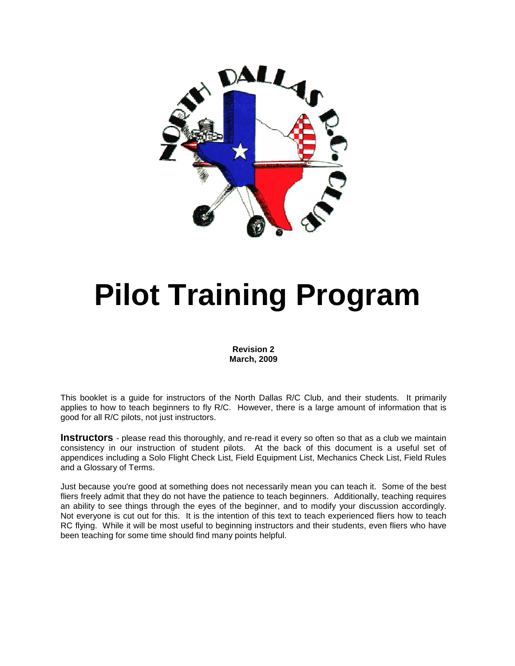

# **Pilot Training Program**

**Revision 2 March, 2009** 

This booklet is a guide for instructors of the North Dallas R/C Club, and their students. It primarily applies to how to teach beginners to fly R/C. However, there is a large amount of information that is good for all R/C pilots, not just instructors.

**Instructors** - please read this thoroughly, and re-read it every so often so that as a club we maintain consistency in our instruction of student pilots. At the back of this document is a useful set of appendices including a Solo Flight Check List, Field Equipment List, Mechanics Check List, Field Rules and a Glossary of Terms.

Just because you're good at something does not necessarily mean you can teach it. Some of the best fliers freely admit that they do not have the patience to teach beginners. Additionally, teaching requires an ability to see things through the eyes of the beginner, and to modify your discussion accordingly. Not everyone is cut out for this. It is the intention of this text to teach experienced fliers how to teach RC flying. While it will be most useful to beginning instructors and their students, even fliers who have been teaching for some time should find many points helpful.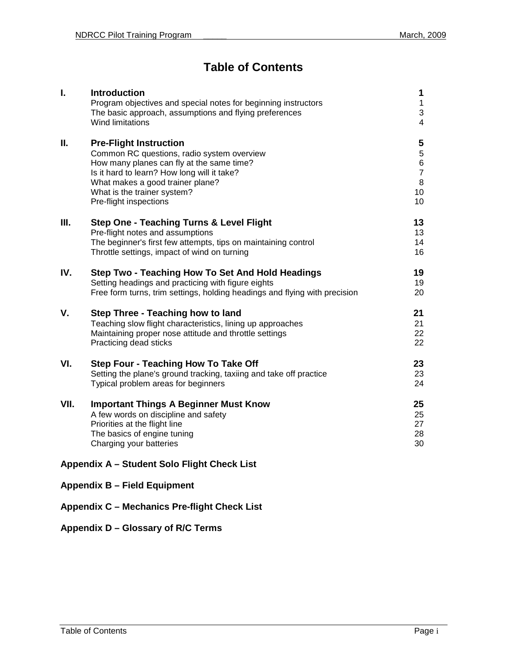## **Table of Contents**

| $\mathbf{I}$ .                              | <b>Introduction</b><br>Program objectives and special notes for beginning instructors<br>The basic approach, assumptions and flying preferences<br>Wind limitations                                                                                                  | 1<br>$\mathbf{1}$<br>$\mathfrak{S}$<br>4                          |  |  |
|---------------------------------------------|----------------------------------------------------------------------------------------------------------------------------------------------------------------------------------------------------------------------------------------------------------------------|-------------------------------------------------------------------|--|--|
| Ш.                                          | <b>Pre-Flight Instruction</b><br>Common RC questions, radio system overview<br>How many planes can fly at the same time?<br>Is it hard to learn? How long will it take?<br>What makes a good trainer plane?<br>What is the trainer system?<br>Pre-flight inspections | 5<br>5<br>$\,6\,$<br>$\overline{7}$<br>8<br>10 <sup>1</sup><br>10 |  |  |
| Ш.                                          | <b>Step One - Teaching Turns &amp; Level Flight</b><br>Pre-flight notes and assumptions<br>The beginner's first few attempts, tips on maintaining control<br>Throttle settings, impact of wind on turning                                                            | 13<br>13<br>14<br>16                                              |  |  |
| IV.                                         | Step Two - Teaching How To Set And Hold Headings<br>Setting headings and practicing with figure eights<br>Free form turns, trim settings, holding headings and flying with precision                                                                                 | 19<br>19<br>20                                                    |  |  |
| V.                                          | Step Three - Teaching how to land<br>Teaching slow flight characteristics, lining up approaches<br>Maintaining proper nose attitude and throttle settings<br>Practicing dead sticks                                                                                  | 21<br>21<br>22<br>22                                              |  |  |
| VI.                                         | <b>Step Four - Teaching How To Take Off</b><br>Setting the plane's ground tracking, taxiing and take off practice<br>Typical problem areas for beginners                                                                                                             | 23<br>23<br>24                                                    |  |  |
| VII.                                        | <b>Important Things A Beginner Must Know</b><br>A few words on discipline and safety<br>Priorities at the flight line<br>The basics of engine tuning<br>Charging your batteries                                                                                      | 25<br>25<br>27<br>28<br>30                                        |  |  |
| Appendix A - Student Solo Flight Check List |                                                                                                                                                                                                                                                                      |                                                                   |  |  |
|                                             | <b>Appendix B - Field Equipment</b>                                                                                                                                                                                                                                  |                                                                   |  |  |

## **Appendix C – Mechanics Pre-flight Check List**

## **Appendix D – Glossary of R/C Terms**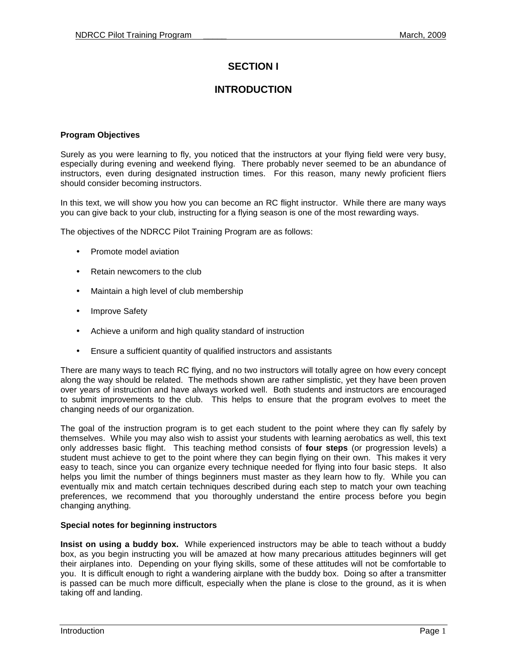## **SECTION I**

## **INTRODUCTION**

#### **Program Objectives**

Surely as you were learning to fly, you noticed that the instructors at your flying field were very busy, especially during evening and weekend flying. There probably never seemed to be an abundance of instructors, even during designated instruction times. For this reason, many newly proficient fliers should consider becoming instructors.

In this text, we will show you how you can become an RC flight instructor. While there are many ways you can give back to your club, instructing for a flying season is one of the most rewarding ways.

The objectives of the NDRCC Pilot Training Program are as follows:

- Promote model aviation
- Retain newcomers to the club
- Maintain a high level of club membership
- **Improve Safety**
- Achieve a uniform and high quality standard of instruction
- Ensure a sufficient quantity of qualified instructors and assistants

There are many ways to teach RC flying, and no two instructors will totally agree on how every concept along the way should be related. The methods shown are rather simplistic, yet they have been proven over years of instruction and have always worked well. Both students and instructors are encouraged to submit improvements to the club. This helps to ensure that the program evolves to meet the changing needs of our organization.

The goal of the instruction program is to get each student to the point where they can fly safely by themselves. While you may also wish to assist your students with learning aerobatics as well, this text only addresses basic flight. This teaching method consists of **four steps** (or progression levels) a student must achieve to get to the point where they can begin flying on their own. This makes it very easy to teach, since you can organize every technique needed for flying into four basic steps. It also helps you limit the number of things beginners must master as they learn how to fly. While you can eventually mix and match certain techniques described during each step to match your own teaching preferences, we recommend that you thoroughly understand the entire process before you begin changing anything.

#### **Special notes for beginning instructors**

**Insist on using a buddy box.** While experienced instructors may be able to teach without a buddy box, as you begin instructing you will be amazed at how many precarious attitudes beginners will get their airplanes into. Depending on your flying skills, some of these attitudes will not be comfortable to you. It is difficult enough to right a wandering airplane with the buddy box. Doing so after a transmitter is passed can be much more difficult, especially when the plane is close to the ground, as it is when taking off and landing.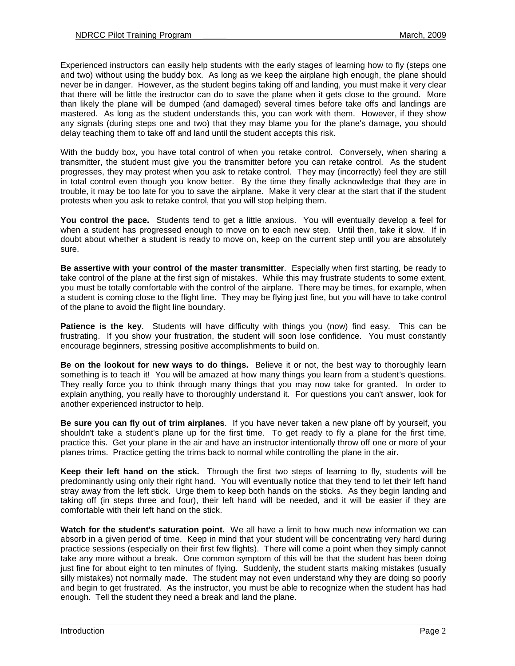Experienced instructors can easily help students with the early stages of learning how to fly (steps one and two) without using the buddy box. As long as we keep the airplane high enough, the plane should never be in danger. However, as the student begins taking off and landing, you must make it very clear that there will be little the instructor can do to save the plane when it gets close to the ground. More than likely the plane will be dumped (and damaged) several times before take offs and landings are mastered. As long as the student understands this, you can work with them. However, if they show any signals (during steps one and two) that they may blame you for the plane's damage, you should delay teaching them to take off and land until the student accepts this risk.

With the buddy box, you have total control of when you retake control. Conversely, when sharing a transmitter, the student must give you the transmitter before you can retake control. As the student progresses, they may protest when you ask to retake control. They may (incorrectly) feel they are still in total control even though you know better. By the time they finally acknowledge that they are in trouble, it may be too late for you to save the airplane. Make it very clear at the start that if the student protests when you ask to retake control, that you will stop helping them.

**You control the pace.** Students tend to get a little anxious. You will eventually develop a feel for when a student has progressed enough to move on to each new step. Until then, take it slow. If in doubt about whether a student is ready to move on, keep on the current step until you are absolutely sure.

**Be assertive with your control of the master transmitter**. Especially when first starting, be ready to take control of the plane at the first sign of mistakes. While this may frustrate students to some extent, you must be totally comfortable with the control of the airplane. There may be times, for example, when a student is coming close to the flight line. They may be flying just fine, but you will have to take control of the plane to avoid the flight line boundary.

**Patience is the key**. Students will have difficulty with things you (now) find easy. This can be frustrating. If you show your frustration, the student will soon lose confidence. You must constantly encourage beginners, stressing positive accomplishments to build on.

**Be on the lookout for new ways to do things.** Believe it or not, the best way to thoroughly learn something is to teach it! You will be amazed at how many things you learn from a student's questions. They really force you to think through many things that you may now take for granted. In order to explain anything, you really have to thoroughly understand it. For questions you can't answer, look for another experienced instructor to help.

**Be sure you can fly out of trim airplanes**. If you have never taken a new plane off by yourself, you shouldn't take a student's plane up for the first time. To get ready to fly a plane for the first time, practice this. Get your plane in the air and have an instructor intentionally throw off one or more of your planes trims. Practice getting the trims back to normal while controlling the plane in the air.

**Keep their left hand on the stick.** Through the first two steps of learning to fly, students will be predominantly using only their right hand. You will eventually notice that they tend to let their left hand stray away from the left stick. Urge them to keep both hands on the sticks. As they begin landing and taking off (in steps three and four), their left hand will be needed, and it will be easier if they are comfortable with their left hand on the stick.

**Watch for the student's saturation point.** We all have a limit to how much new information we can absorb in a given period of time. Keep in mind that your student will be concentrating very hard during practice sessions (especially on their first few flights). There will come a point when they simply cannot take any more without a break. One common symptom of this will be that the student has been doing just fine for about eight to ten minutes of flying. Suddenly, the student starts making mistakes (usually silly mistakes) not normally made. The student may not even understand why they are doing so poorly and begin to get frustrated. As the instructor, you must be able to recognize when the student has had enough. Tell the student they need a break and land the plane.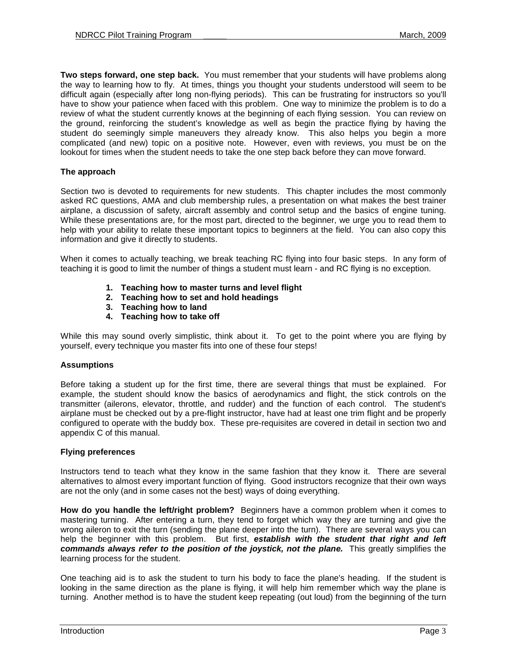**Two steps forward, one step back.** You must remember that your students will have problems along the way to learning how to fly. At times, things you thought your students understood will seem to be difficult again (especially after long non-flying periods). This can be frustrating for instructors so you'll have to show your patience when faced with this problem. One way to minimize the problem is to do a review of what the student currently knows at the beginning of each flying session. You can review on the ground, reinforcing the student's knowledge as well as begin the practice flying by having the student do seemingly simple maneuvers they already know. This also helps you begin a more complicated (and new) topic on a positive note. However, even with reviews, you must be on the lookout for times when the student needs to take the one step back before they can move forward.

#### **The approach**

Section two is devoted to requirements for new students. This chapter includes the most commonly asked RC questions, AMA and club membership rules, a presentation on what makes the best trainer airplane, a discussion of safety, aircraft assembly and control setup and the basics of engine tuning. While these presentations are, for the most part, directed to the beginner, we urge you to read them to help with your ability to relate these important topics to beginners at the field. You can also copy this information and give it directly to students.

When it comes to actually teaching, we break teaching RC flying into four basic steps. In any form of teaching it is good to limit the number of things a student must learn - and RC flying is no exception.

- **1. Teaching how to master turns and level flight**
- **2. Teaching how to set and hold headings**
- **3. Teaching how to land**
- **4. Teaching how to take off**

While this may sound overly simplistic, think about it. To get to the point where you are flying by yourself, every technique you master fits into one of these four steps!

#### **Assumptions**

Before taking a student up for the first time, there are several things that must be explained. For example, the student should know the basics of aerodynamics and flight, the stick controls on the transmitter (ailerons, elevator, throttle, and rudder) and the function of each control. The student's airplane must be checked out by a pre-flight instructor, have had at least one trim flight and be properly configured to operate with the buddy box. These pre-requisites are covered in detail in section two and appendix C of this manual.

#### **Flying preferences**

Instructors tend to teach what they know in the same fashion that they know it. There are several alternatives to almost every important function of flying. Good instructors recognize that their own ways are not the only (and in some cases not the best) ways of doing everything.

**How do you handle the left/right problem?** Beginners have a common problem when it comes to mastering turning. After entering a turn, they tend to forget which way they are turning and give the wrong aileron to exit the turn (sending the plane deeper into the turn). There are several ways you can help the beginner with this problem. But first, **establish with the student that right and left commands always refer to the position of the joystick, not the plane.** This greatly simplifies the learning process for the student.

One teaching aid is to ask the student to turn his body to face the plane's heading. If the student is looking in the same direction as the plane is flying, it will help him remember which way the plane is turning. Another method is to have the student keep repeating (out loud) from the beginning of the turn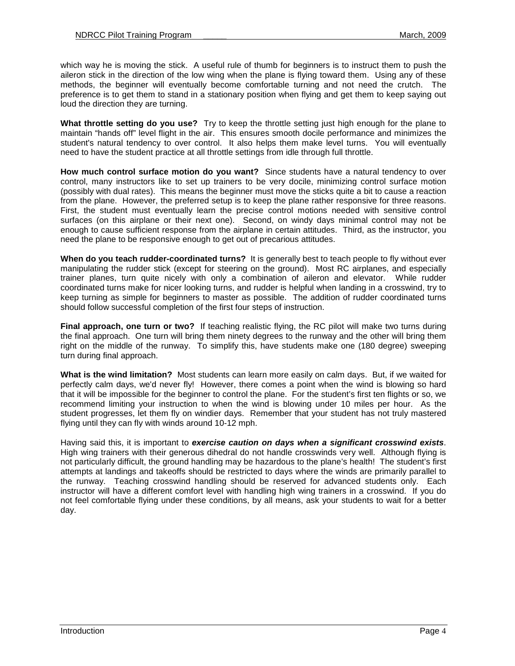which way he is moving the stick. A useful rule of thumb for beginners is to instruct them to push the aileron stick in the direction of the low wing when the plane is flying toward them. Using any of these methods, the beginner will eventually become comfortable turning and not need the crutch. The preference is to get them to stand in a stationary position when flying and get them to keep saying out loud the direction they are turning.

**What throttle setting do you use?** Try to keep the throttle setting just high enough for the plane to maintain "hands off" level flight in the air. This ensures smooth docile performance and minimizes the student's natural tendency to over control. It also helps them make level turns. You will eventually need to have the student practice at all throttle settings from idle through full throttle.

**How much control surface motion do you want?** Since students have a natural tendency to over control, many instructors like to set up trainers to be very docile, minimizing control surface motion (possibly with dual rates). This means the beginner must move the sticks quite a bit to cause a reaction from the plane. However, the preferred setup is to keep the plane rather responsive for three reasons. First, the student must eventually learn the precise control motions needed with sensitive control surfaces (on this airplane or their next one). Second, on windy days minimal control may not be enough to cause sufficient response from the airplane in certain attitudes. Third, as the instructor, you need the plane to be responsive enough to get out of precarious attitudes.

**When do you teach rudder-coordinated turns?** It is generally best to teach people to fly without ever manipulating the rudder stick (except for steering on the ground). Most RC airplanes, and especially trainer planes, turn quite nicely with only a combination of aileron and elevator. While rudder coordinated turns make for nicer looking turns, and rudder is helpful when landing in a crosswind, try to keep turning as simple for beginners to master as possible. The addition of rudder coordinated turns should follow successful completion of the first four steps of instruction.

**Final approach, one turn or two?** If teaching realistic flying, the RC pilot will make two turns during the final approach. One turn will bring them ninety degrees to the runway and the other will bring them right on the middle of the runway. To simplify this, have students make one (180 degree) sweeping turn during final approach.

**What is the wind limitation?** Most students can learn more easily on calm days. But, if we waited for perfectly calm days, we'd never fly! However, there comes a point when the wind is blowing so hard that it will be impossible for the beginner to control the plane. For the student's first ten flights or so, we recommend limiting your instruction to when the wind is blowing under 10 miles per hour. As the student progresses, let them fly on windier days. Remember that your student has not truly mastered flying until they can fly with winds around 10-12 mph.

Having said this, it is important to **exercise caution on days when a significant crosswind exists**. High wing trainers with their generous dihedral do not handle crosswinds very well. Although flying is not particularly difficult, the ground handling may be hazardous to the plane's health! The student's first attempts at landings and takeoffs should be restricted to days where the winds are primarily parallel to the runway. Teaching crosswind handling should be reserved for advanced students only. Each instructor will have a different comfort level with handling high wing trainers in a crosswind. If you do not feel comfortable flying under these conditions, by all means, ask your students to wait for a better day.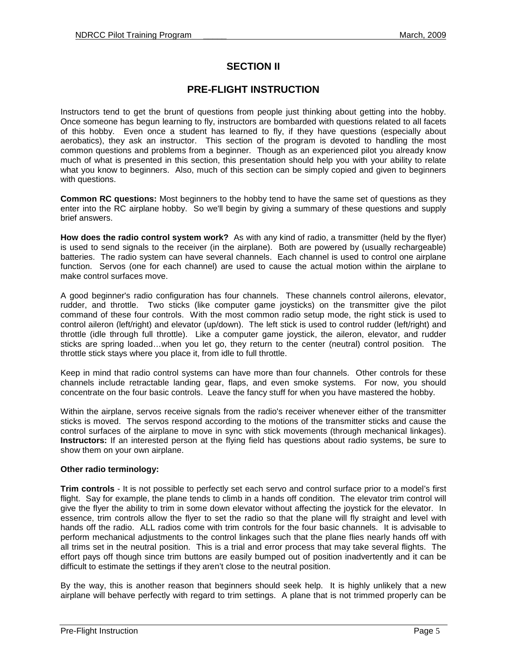## **SECTION II**

## **PRE-FLIGHT INSTRUCTION**

Instructors tend to get the brunt of questions from people just thinking about getting into the hobby. Once someone has begun learning to fly, instructors are bombarded with questions related to all facets of this hobby. Even once a student has learned to fly, if they have questions (especially about aerobatics), they ask an instructor. This section of the program is devoted to handling the most common questions and problems from a beginner. Though as an experienced pilot you already know much of what is presented in this section, this presentation should help you with your ability to relate what you know to beginners. Also, much of this section can be simply copied and given to beginners with questions.

**Common RC questions:** Most beginners to the hobby tend to have the same set of questions as they enter into the RC airplane hobby. So we'll begin by giving a summary of these questions and supply brief answers.

**How does the radio control system work?** As with any kind of radio, a transmitter (held by the flyer) is used to send signals to the receiver (in the airplane). Both are powered by (usually rechargeable) batteries. The radio system can have several channels. Each channel is used to control one airplane function. Servos (one for each channel) are used to cause the actual motion within the airplane to make control surfaces move.

A good beginner's radio configuration has four channels. These channels control ailerons, elevator, rudder, and throttle. Two sticks (like computer game joysticks) on the transmitter give the pilot command of these four controls. With the most common radio setup mode, the right stick is used to control aileron (left/right) and elevator (up/down). The left stick is used to control rudder (left/right) and throttle (idle through full throttle). Like a computer game joystick, the aileron, elevator, and rudder sticks are spring loaded…when you let go, they return to the center (neutral) control position. The throttle stick stays where you place it, from idle to full throttle.

Keep in mind that radio control systems can have more than four channels. Other controls for these channels include retractable landing gear, flaps, and even smoke systems. For now, you should concentrate on the four basic controls. Leave the fancy stuff for when you have mastered the hobby.

Within the airplane, servos receive signals from the radio's receiver whenever either of the transmitter sticks is moved. The servos respond according to the motions of the transmitter sticks and cause the control surfaces of the airplane to move in sync with stick movements (through mechanical linkages). **Instructors:** If an interested person at the flying field has questions about radio systems, be sure to show them on your own airplane.

#### **Other radio terminology:**

**Trim controls** - It is not possible to perfectly set each servo and control surface prior to a model's first flight. Say for example, the plane tends to climb in a hands off condition. The elevator trim control will give the flyer the ability to trim in some down elevator without affecting the joystick for the elevator. In essence, trim controls allow the flyer to set the radio so that the plane will fly straight and level with hands off the radio. ALL radios come with trim controls for the four basic channels. It is advisable to perform mechanical adjustments to the control linkages such that the plane flies nearly hands off with all trims set in the neutral position. This is a trial and error process that may take several flights. The effort pays off though since trim buttons are easily bumped out of position inadvertently and it can be difficult to estimate the settings if they aren't close to the neutral position.

By the way, this is another reason that beginners should seek help. It is highly unlikely that a new airplane will behave perfectly with regard to trim settings. A plane that is not trimmed properly can be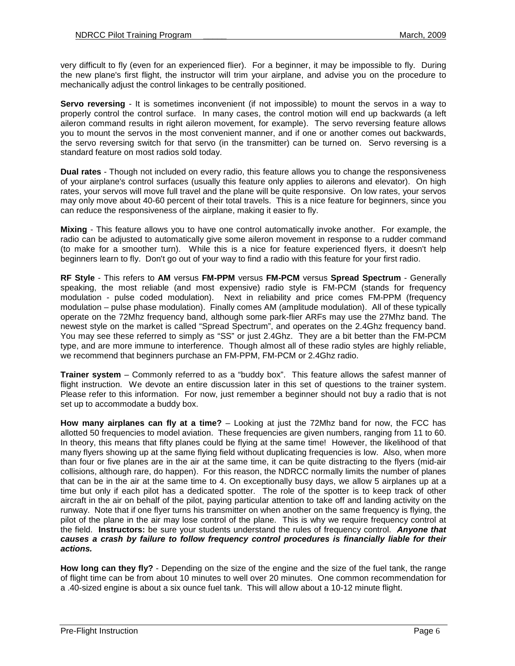very difficult to fly (even for an experienced flier). For a beginner, it may be impossible to fly. During the new plane's first flight, the instructor will trim your airplane, and advise you on the procedure to mechanically adjust the control linkages to be centrally positioned.

**Servo reversing** - It is sometimes inconvenient (if not impossible) to mount the servos in a way to properly control the control surface. In many cases, the control motion will end up backwards (a left aileron command results in right aileron movement, for example). The servo reversing feature allows you to mount the servos in the most convenient manner, and if one or another comes out backwards, the servo reversing switch for that servo (in the transmitter) can be turned on. Servo reversing is a standard feature on most radios sold today.

**Dual rates** - Though not included on every radio, this feature allows you to change the responsiveness of your airplane's control surfaces (usually this feature only applies to ailerons and elevator). On high rates, your servos will move full travel and the plane will be quite responsive. On low rates, your servos may only move about 40-60 percent of their total travels. This is a nice feature for beginners, since you can reduce the responsiveness of the airplane, making it easier to fly.

**Mixing** - This feature allows you to have one control automatically invoke another. For example, the radio can be adjusted to automatically give some aileron movement in response to a rudder command (to make for a smoother turn). While this is a nice for feature experienced flyers, it doesn't help beginners learn to fly. Don't go out of your way to find a radio with this feature for your first radio.

**RF Style** - This refers to **AM** versus **FM-PPM** versus **FM-PCM** versus **Spread Spectrum** - Generally speaking, the most reliable (and most expensive) radio style is FM-PCM (stands for frequency modulation - pulse coded modulation). Next in reliability and price comes FM-PPM (frequency modulation – pulse phase modulation). Finally comes AM (amplitude modulation). All of these typically operate on the 72Mhz frequency band, although some park-flier ARFs may use the 27Mhz band. The newest style on the market is called "Spread Spectrum", and operates on the 2.4Ghz frequency band. You may see these referred to simply as "SS" or just 2.4Ghz. They are a bit better than the FM-PCM type, and are more immune to interference. Though almost all of these radio styles are highly reliable, we recommend that beginners purchase an FM-PPM, FM-PCM or 2.4Ghz radio.

**Trainer system** – Commonly referred to as a "buddy box". This feature allows the safest manner of flight instruction. We devote an entire discussion later in this set of questions to the trainer system. Please refer to this information. For now, just remember a beginner should not buy a radio that is not set up to accommodate a buddy box.

**How many airplanes can fly at a time?** – Looking at just the 72Mhz band for now, the FCC has allotted 50 frequencies to model aviation. These frequencies are given numbers, ranging from 11 to 60. In theory, this means that fifty planes could be flying at the same time! However, the likelihood of that many flyers showing up at the same flying field without duplicating frequencies is low. Also, when more than four or five planes are in the air at the same time, it can be quite distracting to the flyers (mid-air collisions, although rare, do happen). For this reason, the NDRCC normally limits the number of planes that can be in the air at the same time to 4. On exceptionally busy days, we allow 5 airplanes up at a time but only if each pilot has a dedicated spotter. The role of the spotter is to keep track of other aircraft in the air on behalf of the pilot, paying particular attention to take off and landing activity on the runway. Note that if one flyer turns his transmitter on when another on the same frequency is flying, the pilot of the plane in the air may lose control of the plane. This is why we require frequency control at the field. **Instructors:** be sure your students understand the rules of frequency control. **Anyone that causes a crash by failure to follow frequency control procedures is financially liable for their actions.** 

**How long can they fly?** - Depending on the size of the engine and the size of the fuel tank, the range of flight time can be from about 10 minutes to well over 20 minutes. One common recommendation for a .40-sized engine is about a six ounce fuel tank. This will allow about a 10-12 minute flight.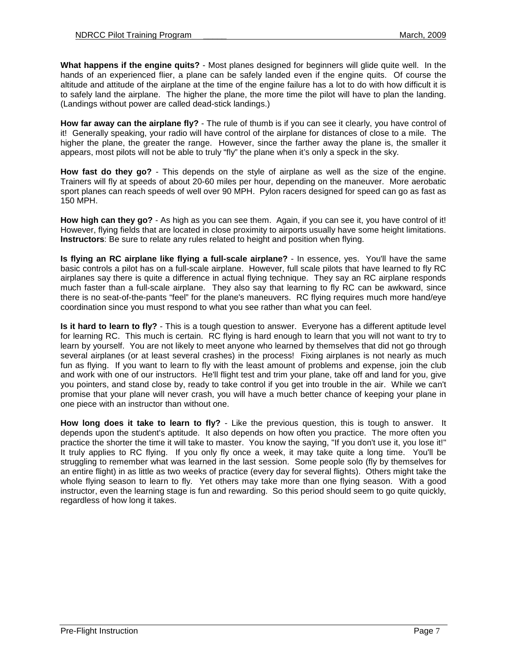**What happens if the engine quits?** - Most planes designed for beginners will glide quite well. In the hands of an experienced flier, a plane can be safely landed even if the engine quits. Of course the altitude and attitude of the airplane at the time of the engine failure has a lot to do with how difficult it is to safely land the airplane. The higher the plane, the more time the pilot will have to plan the landing. (Landings without power are called dead-stick landings.)

**How far away can the airplane fly?** - The rule of thumb is if you can see it clearly, you have control of it! Generally speaking, your radio will have control of the airplane for distances of close to a mile. The higher the plane, the greater the range. However, since the farther away the plane is, the smaller it appears, most pilots will not be able to truly "fly" the plane when it's only a speck in the sky.

**How fast do they go?** - This depends on the style of airplane as well as the size of the engine. Trainers will fly at speeds of about 20-60 miles per hour, depending on the maneuver. More aerobatic sport planes can reach speeds of well over 90 MPH. Pylon racers designed for speed can go as fast as 150 MPH.

**How high can they go?** - As high as you can see them. Again, if you can see it, you have control of it! However, flying fields that are located in close proximity to airports usually have some height limitations. **Instructors**: Be sure to relate any rules related to height and position when flying.

**Is flying an RC airplane like flying a full-scale airplane?** - In essence, yes. You'll have the same basic controls a pilot has on a full-scale airplane. However, full scale pilots that have learned to fly RC airplanes say there is quite a difference in actual flying technique. They say an RC airplane responds much faster than a full-scale airplane. They also say that learning to fly RC can be awkward, since there is no seat-of-the-pants "feel" for the plane's maneuvers. RC flying requires much more hand/eye coordination since you must respond to what you see rather than what you can feel.

**Is it hard to learn to fly?** - This is a tough question to answer. Everyone has a different aptitude level for learning RC. This much is certain. RC flying is hard enough to learn that you will not want to try to learn by yourself. You are not likely to meet anyone who learned by themselves that did not go through several airplanes (or at least several crashes) in the process! Fixing airplanes is not nearly as much fun as flying. If you want to learn to fly with the least amount of problems and expense, join the club and work with one of our instructors. He'll flight test and trim your plane, take off and land for you, give you pointers, and stand close by, ready to take control if you get into trouble in the air. While we can't promise that your plane will never crash, you will have a much better chance of keeping your plane in one piece with an instructor than without one.

**How long does it take to learn to fly?** - Like the previous question, this is tough to answer. It depends upon the student's aptitude. It also depends on how often you practice. The more often you practice the shorter the time it will take to master. You know the saying, "If you don't use it, you lose it!" It truly applies to RC flying. If you only fly once a week, it may take quite a long time. You'll be struggling to remember what was learned in the last session. Some people solo (fly by themselves for an entire flight) in as little as two weeks of practice (every day for several flights). Others might take the whole flying season to learn to fly. Yet others may take more than one flying season. With a good instructor, even the learning stage is fun and rewarding. So this period should seem to go quite quickly, regardless of how long it takes.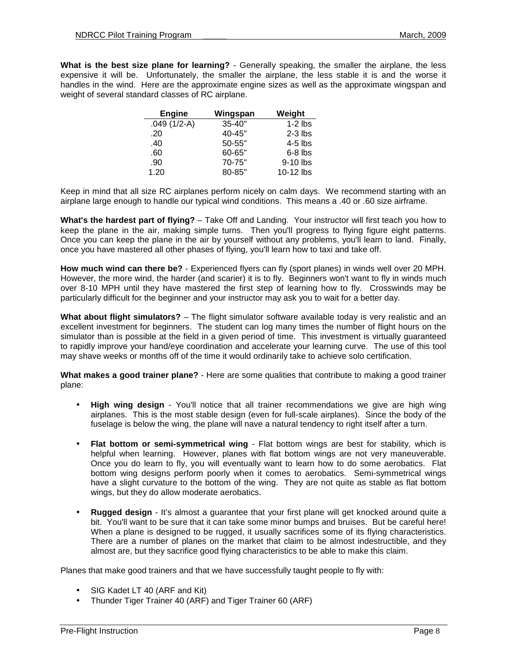**What is the best size plane for learning?** - Generally speaking, the smaller the airplane, the less expensive it will be. Unfortunately, the smaller the airplane, the less stable it is and the worse it handles in the wind. Here are the approximate engine sizes as well as the approximate wingspan and weight of several standard classes of RC airplane.

| <b>Engine</b> | Wingspan   | Weight    |
|---------------|------------|-----------|
| $.049(1/2-A)$ | $35 - 40"$ | $1-2$ lbs |
| .20           | 40-45"     | $2-3$ lbs |
| .40           | 50-55"     | $4-5$ lbs |
| .60           | 60-65"     | $6-8$ lbs |
| .90           | 70-75"     | 9-10 lbs  |
| 1.20          | 80-85"     | 10-12 lbs |

Keep in mind that all size RC airplanes perform nicely on calm days. We recommend starting with an airplane large enough to handle our typical wind conditions. This means a .40 or .60 size airframe.

**What's the hardest part of flying?** – Take Off and Landing. Your instructor will first teach you how to keep the plane in the air, making simple turns. Then you'll progress to flying figure eight patterns. Once you can keep the plane in the air by yourself without any problems, you'll learn to land. Finally, once you have mastered all other phases of flying, you'll learn how to taxi and take off.

**How much wind can there be?** - Experienced flyers can fly (sport planes) in winds well over 20 MPH. However, the more wind, the harder (and scarier) it is to fly. Beginners won't want to fly in winds much over 8-10 MPH until they have mastered the first step of learning how to fly. Crosswinds may be particularly difficult for the beginner and your instructor may ask you to wait for a better day.

**What about flight simulators?** – The flight simulator software available today is very realistic and an excellent investment for beginners. The student can log many times the number of flight hours on the simulator than is possible at the field in a given period of time. This investment is virtually guaranteed to rapidly improve your hand/eye coordination and accelerate your learning curve. The use of this tool may shave weeks or months off of the time it would ordinarily take to achieve solo certification.

**What makes a good trainer plane?** - Here are some qualities that contribute to making a good trainer plane:

- **High wing design**  You'll notice that all trainer recommendations we give are high wing airplanes. This is the most stable design (even for full-scale airplanes). Since the body of the fuselage is below the wing, the plane will nave a natural tendency to right itself after a turn.
- **Flat bottom or semi-symmetrical wing**  Flat bottom wings are best for stability, which is helpful when learning. However, planes with flat bottom wings are not very maneuverable. Once you do learn to fly, you will eventually want to learn how to do some aerobatics. Flat bottom wing designs perform poorly when it comes to aerobatics. Semi-symmetrical wings have a slight curvature to the bottom of the wing. They are not quite as stable as flat bottom wings, but they do allow moderate aerobatics.
- **Rugged design**  It's almost a guarantee that your first plane will get knocked around quite a bit. You'll want to be sure that it can take some minor bumps and bruises. But be careful here! When a plane is designed to be rugged, it usually sacrifices some of its flying characteristics. There are a number of planes on the market that claim to be almost indestructible, and they almost are, but they sacrifice good flying characteristics to be able to make this claim.

Planes that make good trainers and that we have successfully taught people to fly with:

- SIG Kadet LT 40 (ARF and Kit)
- Thunder Tiger Trainer 40 (ARF) and Tiger Trainer 60 (ARF)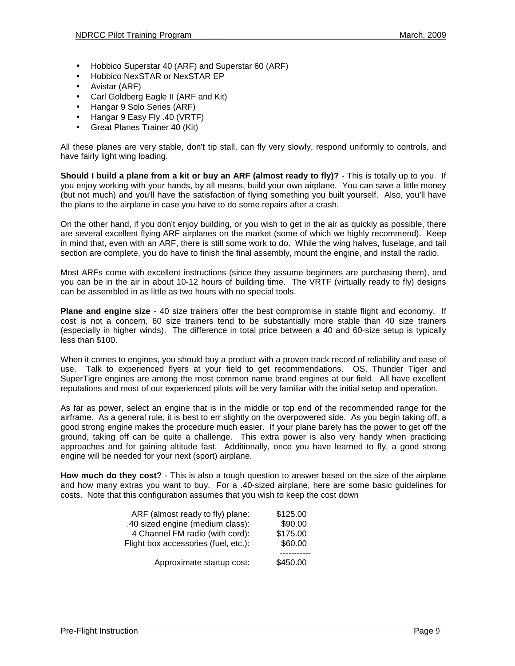- Hobbico Superstar 40 (ARF) and Superstar 60 (ARF)
- Hobbico NexSTAR or NexSTAR EP
- Avistar (ARF)
- Carl Goldberg Eagle II (ARF and Kit)
- Hangar 9 Solo Series (ARF)
- Hangar 9 Easy Fly .40 (VRTF)
- Great Planes Trainer 40 (Kit)

All these planes are very stable, don't tip stall, can fly very slowly, respond uniformly to controls, and have fairly light wing loading.

**Should I build a plane from a kit or buy an ARF (almost ready to fly)?** - This is totally up to you. If you enjoy working with your hands, by all means, build your own airplane. You can save a little money (but not much) and you'll have the satisfaction of flying something you built yourself. Also, you'll have the plans to the airplane in case you have to do some repairs after a crash.

On the other hand, if you don't enjoy building, or you wish to get in the air as quickly as possible, there are several excellent flying ARF airplanes on the market (some of which we highly recommend). Keep in mind that, even with an ARF, there is still some work to do. While the wing halves, fuselage, and tail section are complete, you do have to finish the final assembly, mount the engine, and install the radio.

Most ARFs come with excellent instructions (since they assume beginners are purchasing them), and you can be in the air in about 10-12 hours of building time. The VRTF (virtually ready to fly) designs can be assembled in as little as two hours with no special tools.

**Plane and engine size** - 40 size trainers offer the best compromise in stable flight and economy. If cost is not a concern, 60 size trainers tend to be substantially more stable than 40 size trainers (especially in higher winds). The difference in total price between a 40 and 60-size setup is typically less than \$100.

When it comes to engines, you should buy a product with a proven track record of reliability and ease of use. Talk to experienced flyers at your field to get recommendations. OS, Thunder Tiger and SuperTigre engines are among the most common name brand engines at our field. All have excellent reputations and most of our experienced pilots will be very familiar with the initial setup and operation.

As far as power, select an engine that is in the middle or top end of the recommended range for the airframe. As a general rule, it is best to err slightly on the overpowered side. As you begin taking off, a good strong engine makes the procedure much easier. If your plane barely has the power to get off the ground, taking off can be quite a challenge. This extra power is also very handy when practicing approaches and for gaining altitude fast. Additionally, once you have learned to fly, a good strong engine will be needed for your next (sport) airplane.

**How much do they cost?** - This is also a tough question to answer based on the size of the airplane and how many extras you want to buy. For a .40-sized airplane, here are some basic guidelines for costs. Note that this configuration assumes that you wish to keep the cost down

| ARF (almost ready to fly) plane:     | \$125.00 |
|--------------------------------------|----------|
| .40 sized engine (medium class):     | \$90.00  |
| 4 Channel FM radio (with cord):      | \$175.00 |
| Flight box accessories (fuel, etc.): | \$60.00  |
| Approximate startup cost:            | \$450.00 |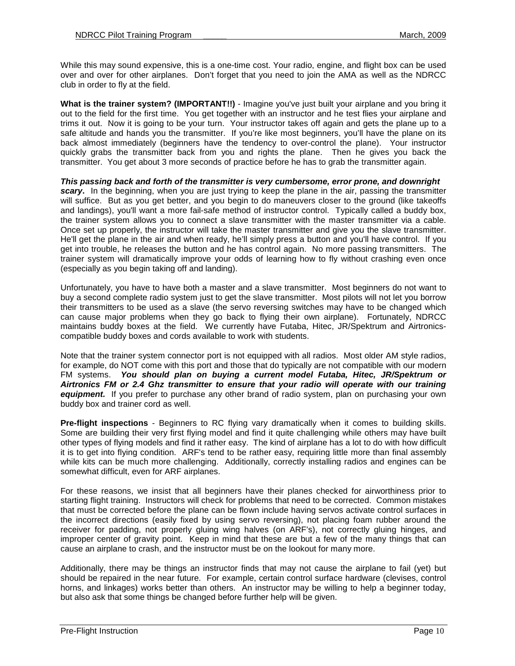While this may sound expensive, this is a one-time cost. Your radio, engine, and flight box can be used over and over for other airplanes. Don't forget that you need to join the AMA as well as the NDRCC club in order to fly at the field.

**What is the trainer system? (IMPORTANT!!)** - Imagine you've just built your airplane and you bring it out to the field for the first time. You get together with an instructor and he test flies your airplane and trims it out. Now it is going to be your turn. Your instructor takes off again and gets the plane up to a safe altitude and hands you the transmitter. If you're like most beginners, you'll have the plane on its back almost immediately (beginners have the tendency to over-control the plane). Your instructor quickly grabs the transmitter back from you and rights the plane. Then he gives you back the transmitter. You get about 3 more seconds of practice before he has to grab the transmitter again.

**This passing back and forth of the transmitter is very cumbersome, error prone, and downright scary.** In the beginning, when you are just trying to keep the plane in the air, passing the transmitter will suffice. But as you get better, and you begin to do maneuvers closer to the ground (like takeoffs and landings), you'll want a more fail-safe method of instructor control. Typically called a buddy box, the trainer system allows you to connect a slave transmitter with the master transmitter via a cable. Once set up properly, the instructor will take the master transmitter and give you the slave transmitter. He'll get the plane in the air and when ready, he'll simply press a button and you'll have control. If you get into trouble, he releases the button and he has control again. No more passing transmitters. The trainer system will dramatically improve your odds of learning how to fly without crashing even once (especially as you begin taking off and landing).

Unfortunately, you have to have both a master and a slave transmitter. Most beginners do not want to buy a second complete radio system just to get the slave transmitter. Most pilots will not let you borrow their transmitters to be used as a slave (the servo reversing switches may have to be changed which can cause major problems when they go back to flying their own airplane). Fortunately, NDRCC maintains buddy boxes at the field. We currently have Futaba, Hitec, JR/Spektrum and Airtronicscompatible buddy boxes and cords available to work with students.

Note that the trainer system connector port is not equipped with all radios. Most older AM style radios, for example, do NOT come with this port and those that do typically are not compatible with our modern FM systems. **You should plan on buying a current model Futaba, Hitec, JR/Spektrum or Airtronics FM or 2.4 Ghz transmitter to ensure that your radio will operate with our training equipment.** If you prefer to purchase any other brand of radio system, plan on purchasing your own buddy box and trainer cord as well.

**Pre-flight inspections** - Beginners to RC flying vary dramatically when it comes to building skills. Some are building their very first flying model and find it quite challenging while others may have built other types of flying models and find it rather easy. The kind of airplane has a lot to do with how difficult it is to get into flying condition. ARF's tend to be rather easy, requiring little more than final assembly while kits can be much more challenging. Additionally, correctly installing radios and engines can be somewhat difficult, even for ARF airplanes.

For these reasons, we insist that all beginners have their planes checked for airworthiness prior to starting flight training. Instructors will check for problems that need to be corrected. Common mistakes that must be corrected before the plane can be flown include having servos activate control surfaces in the incorrect directions (easily fixed by using servo reversing), not placing foam rubber around the receiver for padding, not properly gluing wing halves (on ARF's), not correctly gluing hinges, and improper center of gravity point. Keep in mind that these are but a few of the many things that can cause an airplane to crash, and the instructor must be on the lookout for many more.

Additionally, there may be things an instructor finds that may not cause the airplane to fail (yet) but should be repaired in the near future. For example, certain control surface hardware (clevises, control horns, and linkages) works better than others. An instructor may be willing to help a beginner today, but also ask that some things be changed before further help will be given.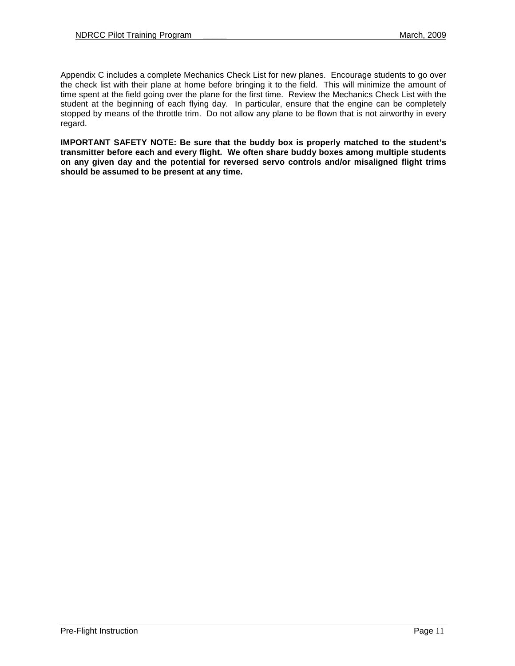Appendix C includes a complete Mechanics Check List for new planes. Encourage students to go over the check list with their plane at home before bringing it to the field. This will minimize the amount of time spent at the field going over the plane for the first time. Review the Mechanics Check List with the student at the beginning of each flying day. In particular, ensure that the engine can be completely stopped by means of the throttle trim. Do not allow any plane to be flown that is not airworthy in every regard.

**IMPORTANT SAFETY NOTE: Be sure that the buddy box is properly matched to the student's transmitter before each and every flight. We often share buddy boxes among multiple students on any given day and the potential for reversed servo controls and/or misaligned flight trims should be assumed to be present at any time.**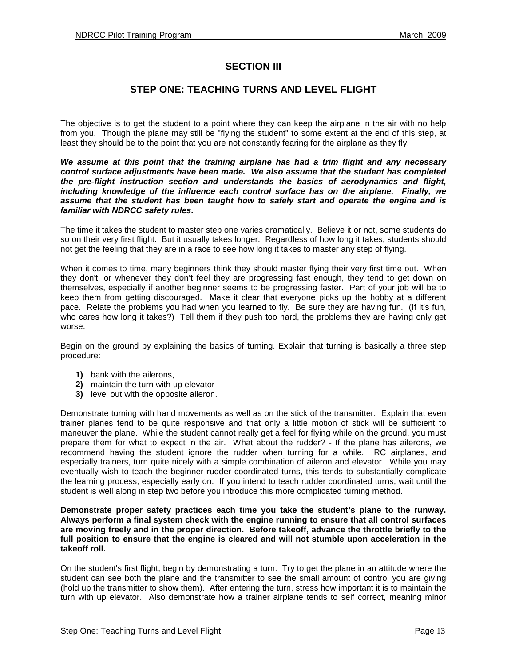## **SECTION III**

## **STEP ONE: TEACHING TURNS AND LEVEL FLIGHT**

The objective is to get the student to a point where they can keep the airplane in the air with no help from you. Though the plane may still be "flying the student" to some extent at the end of this step, at least they should be to the point that you are not constantly fearing for the airplane as they fly.

**We assume at this point that the training airplane has had a trim flight and any necessary control surface adjustments have been made. We also assume that the student has completed the pre-flight instruction section and understands the basics of aerodynamics and flight, including knowledge of the influence each control surface has on the airplane. Finally, we assume that the student has been taught how to safely start and operate the engine and is familiar with NDRCC safety rules.** 

The time it takes the student to master step one varies dramatically. Believe it or not, some students do so on their very first flight. But it usually takes longer. Regardless of how long it takes, students should not get the feeling that they are in a race to see how long it takes to master any step of flying.

When it comes to time, many beginners think they should master flying their very first time out. When they don't, or whenever they don't feel they are progressing fast enough, they tend to get down on themselves, especially if another beginner seems to be progressing faster. Part of your job will be to keep them from getting discouraged. Make it clear that everyone picks up the hobby at a different pace. Relate the problems you had when you learned to fly. Be sure they are having fun. (If it's fun, who cares how long it takes?) Tell them if they push too hard, the problems they are having only get worse.

Begin on the ground by explaining the basics of turning. Explain that turning is basically a three step procedure:

- **1)** bank with the ailerons,
- **2)** maintain the turn with up elevator
- **3)** level out with the opposite aileron.

Demonstrate turning with hand movements as well as on the stick of the transmitter. Explain that even trainer planes tend to be quite responsive and that only a little motion of stick will be sufficient to maneuver the plane. While the student cannot really get a feel for flying while on the ground, you must prepare them for what to expect in the air. What about the rudder? - If the plane has ailerons, we recommend having the student ignore the rudder when turning for a while. RC airplanes, and especially trainers, turn quite nicely with a simple combination of aileron and elevator. While you may eventually wish to teach the beginner rudder coordinated turns, this tends to substantially complicate the learning process, especially early on. If you intend to teach rudder coordinated turns, wait until the student is well along in step two before you introduce this more complicated turning method.

**Demonstrate proper safety practices each time you take the student's plane to the runway. Always perform a final system check with the engine running to ensure that all control surfaces are moving freely and in the proper direction. Before takeoff, advance the throttle briefly to the full position to ensure that the engine is cleared and will not stumble upon acceleration in the takeoff roll.** 

On the student's first flight, begin by demonstrating a turn. Try to get the plane in an attitude where the student can see both the plane and the transmitter to see the small amount of control you are giving (hold up the transmitter to show them). After entering the turn, stress how important it is to maintain the turn with up elevator. Also demonstrate how a trainer airplane tends to self correct, meaning minor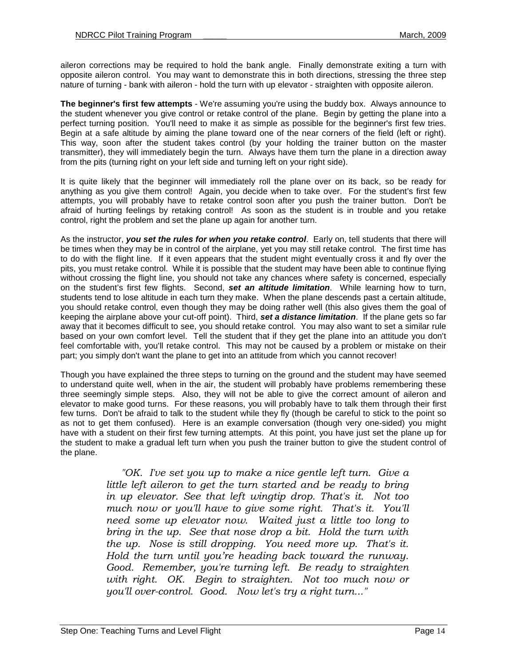aileron corrections may be required to hold the bank angle. Finally demonstrate exiting a turn with opposite aileron control. You may want to demonstrate this in both directions, stressing the three step nature of turning - bank with aileron - hold the turn with up elevator - straighten with opposite aileron.

**The beginner's first few attempts** - We're assuming you're using the buddy box. Always announce to the student whenever you give control or retake control of the plane. Begin by getting the plane into a perfect turning position. You'll need to make it as simple as possible for the beginner's first few tries. Begin at a safe altitude by aiming the plane toward one of the near corners of the field (left or right). This way, soon after the student takes control (by your holding the trainer button on the master transmitter), they will immediately begin the turn. Always have them turn the plane in a direction away from the pits (turning right on your left side and turning left on your right side).

It is quite likely that the beginner will immediately roll the plane over on its back, so be ready for anything as you give them control! Again, you decide when to take over. For the student's first few attempts, you will probably have to retake control soon after you push the trainer button. Don't be afraid of hurting feelings by retaking control! As soon as the student is in trouble and you retake control, right the problem and set the plane up again for another turn.

As the instructor, **you set the rules for when you retake control**. Early on, tell students that there will be times when they may be in control of the airplane, yet you may still retake control. The first time has to do with the flight line. If it even appears that the student might eventually cross it and fly over the pits, you must retake control. While it is possible that the student may have been able to continue flying without crossing the flight line, you should not take any chances where safety is concerned, especially on the student's first few flights. Second, **set an altitude limitation**. While learning how to turn, students tend to lose altitude in each turn they make. When the plane descends past a certain altitude, you should retake control, even though they may be doing rather well (this also gives them the goal of keeping the airplane above your cut-off point). Third, **set a distance limitation**. If the plane gets so far away that it becomes difficult to see, you should retake control. You may also want to set a similar rule based on your own comfort level. Tell the student that if they get the plane into an attitude you don't feel comfortable with, you'll retake control. This may not be caused by a problem or mistake on their part; you simply don't want the plane to get into an attitude from which you cannot recover!

Though you have explained the three steps to turning on the ground and the student may have seemed to understand quite well, when in the air, the student will probably have problems remembering these three seemingly simple steps. Also, they will not be able to give the correct amount of aileron and elevator to make good turns. For these reasons, you will probably have to talk them through their first few turns. Don't be afraid to talk to the student while they fly (though be careful to stick to the point so as not to get them confused). Here is an example conversation (though very one-sided) you might have with a student on their first few turning attempts. At this point, you have just set the plane up for the student to make a gradual left turn when you push the trainer button to give the student control of the plane.

> "OK. I've set you up to make a nice gentle left turn. Give a little left aileron to get the turn started and be ready to bring in up elevator. See that left wingtip drop. That's it. Not too much now or you'll have to give some right. That's it. You'll need some up elevator now. Waited just a little too long to bring in the up. See that nose drop a bit. Hold the turn with the up. Nose is still dropping. You need more up. That's it. Hold the turn until you're heading back toward the runway. Good. Remember, you're turning left. Be ready to straighten with right. OK. Begin to straighten. Not too much now or you'll over-control. Good. Now let's try a right turn..."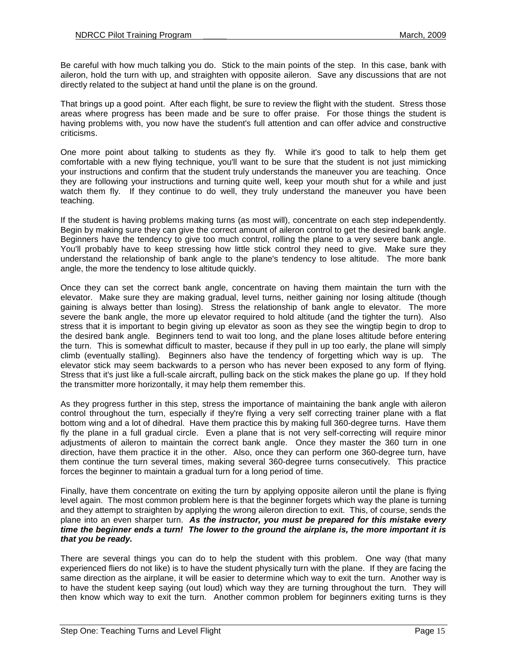Be careful with how much talking you do. Stick to the main points of the step. In this case, bank with aileron, hold the turn with up, and straighten with opposite aileron. Save any discussions that are not directly related to the subject at hand until the plane is on the ground.

That brings up a good point. After each flight, be sure to review the flight with the student. Stress those areas where progress has been made and be sure to offer praise. For those things the student is having problems with, you now have the student's full attention and can offer advice and constructive criticisms.

One more point about talking to students as they fly. While it's good to talk to help them get comfortable with a new flying technique, you'll want to be sure that the student is not just mimicking your instructions and confirm that the student truly understands the maneuver you are teaching. Once they are following your instructions and turning quite well, keep your mouth shut for a while and just watch them fly. If they continue to do well, they truly understand the maneuver you have been teaching.

If the student is having problems making turns (as most will), concentrate on each step independently. Begin by making sure they can give the correct amount of aileron control to get the desired bank angle. Beginners have the tendency to give too much control, rolling the plane to a very severe bank angle. You'll probably have to keep stressing how little stick control they need to give. Make sure they understand the relationship of bank angle to the plane's tendency to lose altitude. The more bank angle, the more the tendency to lose altitude quickly.

Once they can set the correct bank angle, concentrate on having them maintain the turn with the elevator. Make sure they are making gradual, level turns, neither gaining nor losing altitude (though gaining is always better than losing). Stress the relationship of bank angle to elevator. The more severe the bank angle, the more up elevator required to hold altitude (and the tighter the turn). Also stress that it is important to begin giving up elevator as soon as they see the wingtip begin to drop to the desired bank angle. Beginners tend to wait too long, and the plane loses altitude before entering the turn. This is somewhat difficult to master, because if they pull in up too early, the plane will simply climb (eventually stalling). Beginners also have the tendency of forgetting which way is up. The elevator stick may seem backwards to a person who has never been exposed to any form of flying. Stress that it's just like a full-scale aircraft, pulling back on the stick makes the plane go up. If they hold the transmitter more horizontally, it may help them remember this.

As they progress further in this step, stress the importance of maintaining the bank angle with aileron control throughout the turn, especially if they're flying a very self correcting trainer plane with a flat bottom wing and a lot of dihedral. Have them practice this by making full 360-degree turns. Have them fly the plane in a full gradual circle. Even a plane that is not very self-correcting will require minor adjustments of aileron to maintain the correct bank angle. Once they master the 360 turn in one direction, have them practice it in the other. Also, once they can perform one 360-degree turn, have them continue the turn several times, making several 360-degree turns consecutively. This practice forces the beginner to maintain a gradual turn for a long period of time.

Finally, have them concentrate on exiting the turn by applying opposite aileron until the plane is flying level again. The most common problem here is that the beginner forgets which way the plane is turning and they attempt to straighten by applying the wrong aileron direction to exit. This, of course, sends the plane into an even sharper turn. **As the instructor, you must be prepared for this mistake every time the beginner ends a turn! The lower to the ground the airplane is, the more important it is that you be ready.**

There are several things you can do to help the student with this problem. One way (that many experienced fliers do not like) is to have the student physically turn with the plane. If they are facing the same direction as the airplane, it will be easier to determine which way to exit the turn. Another way is to have the student keep saying (out loud) which way they are turning throughout the turn. They will then know which way to exit the turn. Another common problem for beginners exiting turns is they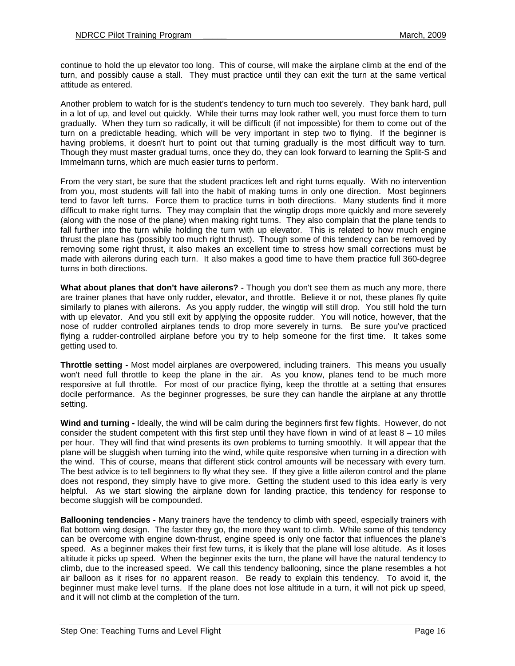continue to hold the up elevator too long. This of course, will make the airplane climb at the end of the turn, and possibly cause a stall. They must practice until they can exit the turn at the same vertical attitude as entered.

Another problem to watch for is the student's tendency to turn much too severely. They bank hard, pull in a lot of up, and level out quickly. While their turns may look rather well, you must force them to turn gradually. When they turn so radically, it will be difficult (if not impossible) for them to come out of the turn on a predictable heading, which will be very important in step two to flying. If the beginner is having problems, it doesn't hurt to point out that turning gradually is the most difficult way to turn. Though they must master gradual turns, once they do, they can look forward to learning the Split-S and Immelmann turns, which are much easier turns to perform.

From the very start, be sure that the student practices left and right turns equally. With no intervention from you, most students will fall into the habit of making turns in only one direction. Most beginners tend to favor left turns. Force them to practice turns in both directions. Many students find it more difficult to make right turns. They may complain that the wingtip drops more quickly and more severely (along with the nose of the plane) when making right turns. They also complain that the plane tends to fall further into the turn while holding the turn with up elevator. This is related to how much engine thrust the plane has (possibly too much right thrust). Though some of this tendency can be removed by removing some right thrust, it also makes an excellent time to stress how small corrections must be made with ailerons during each turn. It also makes a good time to have them practice full 360-degree turns in both directions.

**What about planes that don't have ailerons? -** Though you don't see them as much any more, there are trainer planes that have only rudder, elevator, and throttle. Believe it or not, these planes fly quite similarly to planes with ailerons. As you apply rudder, the wingtip will still drop. You still hold the turn with up elevator. And you still exit by applying the opposite rudder. You will notice, however, that the nose of rudder controlled airplanes tends to drop more severely in turns. Be sure you've practiced flying a rudder-controlled airplane before you try to help someone for the first time. It takes some getting used to.

**Throttle setting -** Most model airplanes are overpowered, including trainers. This means you usually won't need full throttle to keep the plane in the air. As you know, planes tend to be much more responsive at full throttle. For most of our practice flying, keep the throttle at a setting that ensures docile performance. As the beginner progresses, be sure they can handle the airplane at any throttle setting.

**Wind and turning -** Ideally, the wind will be calm during the beginners first few flights. However, do not consider the student competent with this first step until they have flown in wind of at least  $8 - 10$  miles per hour. They will find that wind presents its own problems to turning smoothly. It will appear that the plane will be sluggish when turning into the wind, while quite responsive when turning in a direction with the wind. This of course, means that different stick control amounts will be necessary with every turn. The best advice is to tell beginners to fly what they see. If they give a little aileron control and the plane does not respond, they simply have to give more. Getting the student used to this idea early is very helpful. As we start slowing the airplane down for landing practice, this tendency for response to become sluggish will be compounded.

**Ballooning tendencies -** Many trainers have the tendency to climb with speed, especially trainers with flat bottom wing design. The faster they go, the more they want to climb. While some of this tendency can be overcome with engine down-thrust, engine speed is only one factor that influences the plane's speed. As a beginner makes their first few turns, it is likely that the plane will lose altitude. As it loses altitude it picks up speed. When the beginner exits the turn, the plane will have the natural tendency to climb, due to the increased speed. We call this tendency ballooning, since the plane resembles a hot air balloon as it rises for no apparent reason. Be ready to explain this tendency. To avoid it, the beginner must make level turns. If the plane does not lose altitude in a turn, it will not pick up speed, and it will not climb at the completion of the turn.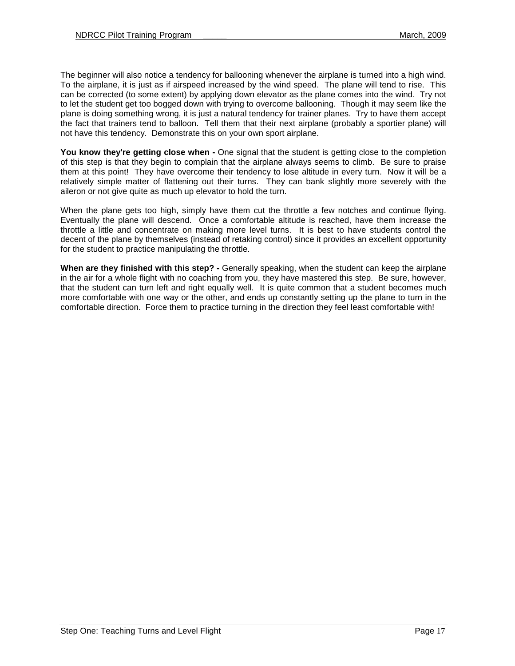The beginner will also notice a tendency for ballooning whenever the airplane is turned into a high wind. To the airplane, it is just as if airspeed increased by the wind speed. The plane will tend to rise. This can be corrected (to some extent) by applying down elevator as the plane comes into the wind. Try not to let the student get too bogged down with trying to overcome ballooning. Though it may seem like the plane is doing something wrong, it is just a natural tendency for trainer planes. Try to have them accept the fact that trainers tend to balloon. Tell them that their next airplane (probably a sportier plane) will not have this tendency. Demonstrate this on your own sport airplane.

You know they're getting close when - One signal that the student is getting close to the completion of this step is that they begin to complain that the airplane always seems to climb. Be sure to praise them at this point! They have overcome their tendency to lose altitude in every turn. Now it will be a relatively simple matter of flattening out their turns. They can bank slightly more severely with the aileron or not give quite as much up elevator to hold the turn.

When the plane gets too high, simply have them cut the throttle a few notches and continue flying. Eventually the plane will descend. Once a comfortable altitude is reached, have them increase the throttle a little and concentrate on making more level turns. It is best to have students control the decent of the plane by themselves (instead of retaking control) since it provides an excellent opportunity for the student to practice manipulating the throttle.

**When are they finished with this step? -** Generally speaking, when the student can keep the airplane in the air for a whole flight with no coaching from you, they have mastered this step. Be sure, however, that the student can turn left and right equally well. It is quite common that a student becomes much more comfortable with one way or the other, and ends up constantly setting up the plane to turn in the comfortable direction. Force them to practice turning in the direction they feel least comfortable with!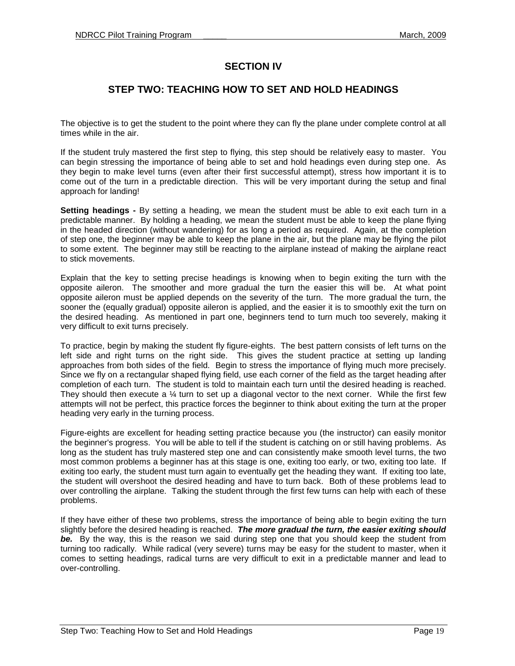## **SECTION IV**

## **STEP TWO: TEACHING HOW TO SET AND HOLD HEADINGS**

The objective is to get the student to the point where they can fly the plane under complete control at all times while in the air.

If the student truly mastered the first step to flying, this step should be relatively easy to master. You can begin stressing the importance of being able to set and hold headings even during step one. As they begin to make level turns (even after their first successful attempt), stress how important it is to come out of the turn in a predictable direction. This will be very important during the setup and final approach for landing!

**Setting headings -** By setting a heading, we mean the student must be able to exit each turn in a predictable manner. By holding a heading, we mean the student must be able to keep the plane flying in the headed direction (without wandering) for as long a period as required. Again, at the completion of step one, the beginner may be able to keep the plane in the air, but the plane may be flying the pilot to some extent. The beginner may still be reacting to the airplane instead of making the airplane react to stick movements.

Explain that the key to setting precise headings is knowing when to begin exiting the turn with the opposite aileron. The smoother and more gradual the turn the easier this will be. At what point opposite aileron must be applied depends on the severity of the turn. The more gradual the turn, the sooner the (equally gradual) opposite aileron is applied, and the easier it is to smoothly exit the turn on the desired heading. As mentioned in part one, beginners tend to turn much too severely, making it very difficult to exit turns precisely.

To practice, begin by making the student fly figure-eights. The best pattern consists of left turns on the left side and right turns on the right side. This gives the student practice at setting up landing approaches from both sides of the field. Begin to stress the importance of flying much more precisely. Since we fly on a rectangular shaped flying field, use each corner of the field as the target heading after completion of each turn. The student is told to maintain each turn until the desired heading is reached. They should then execute a  $\frac{1}{4}$  turn to set up a diagonal vector to the next corner. While the first few attempts will not be perfect, this practice forces the beginner to think about exiting the turn at the proper heading very early in the turning process.

Figure-eights are excellent for heading setting practice because you (the instructor) can easily monitor the beginner's progress. You will be able to tell if the student is catching on or still having problems. As long as the student has truly mastered step one and can consistently make smooth level turns, the two most common problems a beginner has at this stage is one, exiting too early, or two, exiting too late. If exiting too early, the student must turn again to eventually get the heading they want. If exiting too late, the student will overshoot the desired heading and have to turn back. Both of these problems lead to over controlling the airplane. Talking the student through the first few turns can help with each of these problems.

If they have either of these two problems, stress the importance of being able to begin exiting the turn slightly before the desired heading is reached. **The more gradual the turn, the easier exiting should be.** By the way, this is the reason we said during step one that you should keep the student from turning too radically. While radical (very severe) turns may be easy for the student to master, when it comes to setting headings, radical turns are very difficult to exit in a predictable manner and lead to over-controlling.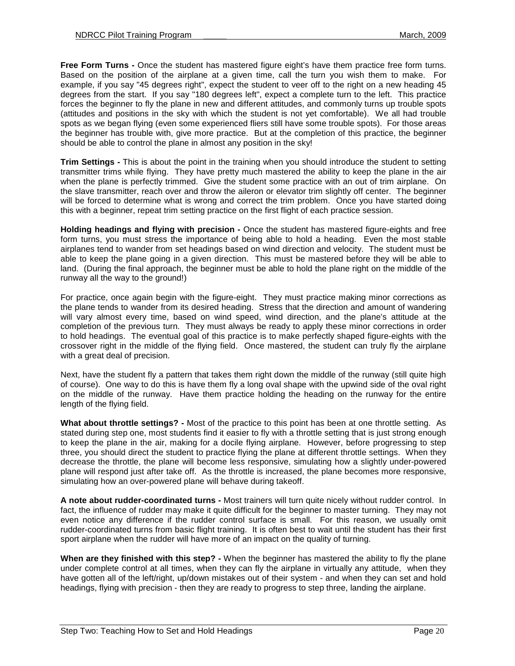**Free Form Turns -** Once the student has mastered figure eight's have them practice free form turns. Based on the position of the airplane at a given time, call the turn you wish them to make. For example, if you say "45 degrees right", expect the student to veer off to the right on a new heading 45 degrees from the start. If you say "180 degrees left", expect a complete turn to the left. This practice forces the beginner to fly the plane in new and different attitudes, and commonly turns up trouble spots (attitudes and positions in the sky with which the student is not yet comfortable). We all had trouble spots as we began flying (even some experienced fliers still have some trouble spots). For those areas the beginner has trouble with, give more practice. But at the completion of this practice, the beginner should be able to control the plane in almost any position in the sky!

**Trim Settings -** This is about the point in the training when you should introduce the student to setting transmitter trims while flying. They have pretty much mastered the ability to keep the plane in the air when the plane is perfectly trimmed. Give the student some practice with an out of trim airplane. On the slave transmitter, reach over and throw the aileron or elevator trim slightly off center. The beginner will be forced to determine what is wrong and correct the trim problem. Once you have started doing this with a beginner, repeat trim setting practice on the first flight of each practice session.

**Holding headings and flying with precision -** Once the student has mastered figure-eights and free form turns, you must stress the importance of being able to hold a heading. Even the most stable airplanes tend to wander from set headings based on wind direction and velocity. The student must be able to keep the plane going in a given direction. This must be mastered before they will be able to land. (During the final approach, the beginner must be able to hold the plane right on the middle of the runway all the way to the ground!)

For practice, once again begin with the figure-eight. They must practice making minor corrections as the plane tends to wander from its desired heading. Stress that the direction and amount of wandering will vary almost every time, based on wind speed, wind direction, and the plane's attitude at the completion of the previous turn. They must always be ready to apply these minor corrections in order to hold headings. The eventual goal of this practice is to make perfectly shaped figure-eights with the crossover right in the middle of the flying field. Once mastered, the student can truly fly the airplane with a great deal of precision.

Next, have the student fly a pattern that takes them right down the middle of the runway (still quite high of course). One way to do this is have them fly a long oval shape with the upwind side of the oval right on the middle of the runway. Have them practice holding the heading on the runway for the entire length of the flying field.

**What about throttle settings? -** Most of the practice to this point has been at one throttle setting. As stated during step one, most students find it easier to fly with a throttle setting that is just strong enough to keep the plane in the air, making for a docile flying airplane. However, before progressing to step three, you should direct the student to practice flying the plane at different throttle settings. When they decrease the throttle, the plane will become less responsive, simulating how a slightly under-powered plane will respond just after take off. As the throttle is increased, the plane becomes more responsive, simulating how an over-powered plane will behave during takeoff.

**A note about rudder-coordinated turns -** Most trainers will turn quite nicely without rudder control. In fact, the influence of rudder may make it quite difficult for the beginner to master turning. They may not even notice any difference if the rudder control surface is small. For this reason, we usually omit rudder-coordinated turns from basic flight training. It is often best to wait until the student has their first sport airplane when the rudder will have more of an impact on the quality of turning.

**When are they finished with this step? -** When the beginner has mastered the ability to fly the plane under complete control at all times, when they can fly the airplane in virtually any attitude, when they have gotten all of the left/right, up/down mistakes out of their system - and when they can set and hold headings, flying with precision - then they are ready to progress to step three, landing the airplane.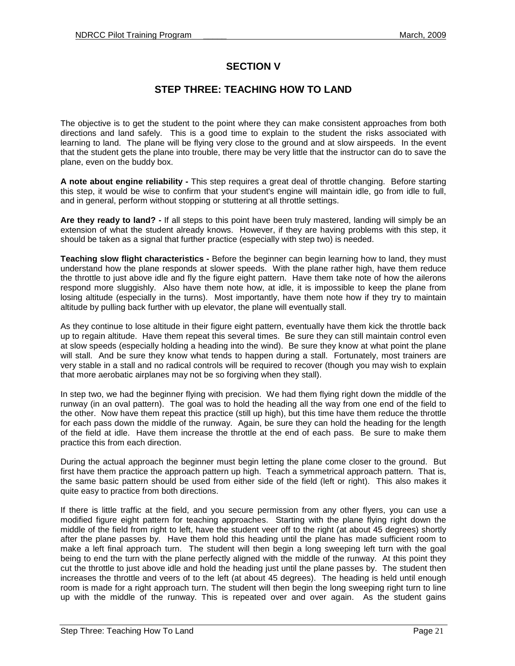## **SECTION V**

## **STEP THREE: TEACHING HOW TO LAND**

The objective is to get the student to the point where they can make consistent approaches from both directions and land safely. This is a good time to explain to the student the risks associated with learning to land. The plane will be flying very close to the ground and at slow airspeeds. In the event that the student gets the plane into trouble, there may be very little that the instructor can do to save the plane, even on the buddy box.

**A note about engine reliability -** This step requires a great deal of throttle changing. Before starting this step, it would be wise to confirm that your student's engine will maintain idle, go from idle to full, and in general, perform without stopping or stuttering at all throttle settings.

**Are they ready to land? -** If all steps to this point have been truly mastered, landing will simply be an extension of what the student already knows. However, if they are having problems with this step, it should be taken as a signal that further practice (especially with step two) is needed.

**Teaching slow flight characteristics -** Before the beginner can begin learning how to land, they must understand how the plane responds at slower speeds. With the plane rather high, have them reduce the throttle to just above idle and fly the figure eight pattern. Have them take note of how the ailerons respond more sluggishly. Also have them note how, at idle, it is impossible to keep the plane from losing altitude (especially in the turns). Most importantly, have them note how if they try to maintain altitude by pulling back further with up elevator, the plane will eventually stall.

As they continue to lose altitude in their figure eight pattern, eventually have them kick the throttle back up to regain altitude. Have them repeat this several times. Be sure they can still maintain control even at slow speeds (especially holding a heading into the wind). Be sure they know at what point the plane will stall. And be sure they know what tends to happen during a stall. Fortunately, most trainers are very stable in a stall and no radical controls will be required to recover (though you may wish to explain that more aerobatic airplanes may not be so forgiving when they stall).

In step two, we had the beginner flying with precision. We had them flying right down the middle of the runway (in an oval pattern). The goal was to hold the heading all the way from one end of the field to the other. Now have them repeat this practice (still up high), but this time have them reduce the throttle for each pass down the middle of the runway. Again, be sure they can hold the heading for the length of the field at idle. Have them increase the throttle at the end of each pass. Be sure to make them practice this from each direction.

During the actual approach the beginner must begin letting the plane come closer to the ground. But first have them practice the approach pattern up high. Teach a symmetrical approach pattern. That is, the same basic pattern should be used from either side of the field (left or right). This also makes it quite easy to practice from both directions.

If there is little traffic at the field, and you secure permission from any other flyers, you can use a modified figure eight pattern for teaching approaches. Starting with the plane flying right down the middle of the field from right to left, have the student veer off to the right (at about 45 degrees) shortly after the plane passes by. Have them hold this heading until the plane has made sufficient room to make a left final approach turn. The student will then begin a long sweeping left turn with the goal being to end the turn with the plane perfectly aligned with the middle of the runway. At this point they cut the throttle to just above idle and hold the heading just until the plane passes by. The student then increases the throttle and veers of to the left (at about 45 degrees). The heading is held until enough room is made for a right approach turn. The student will then begin the long sweeping right turn to line up with the middle of the runway. This is repeated over and over again. As the student gains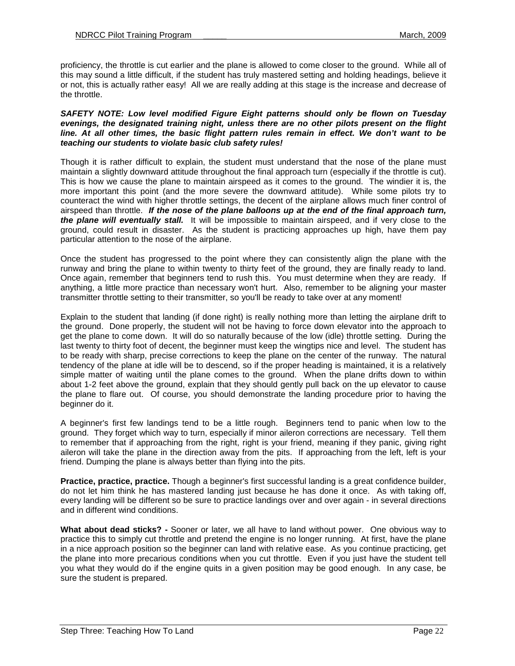proficiency, the throttle is cut earlier and the plane is allowed to come closer to the ground. While all of this may sound a little difficult, if the student has truly mastered setting and holding headings, believe it or not, this is actually rather easy! All we are really adding at this stage is the increase and decrease of the throttle.

#### **SAFETY NOTE: Low level modified Figure Eight patterns should only be flown on Tuesday evenings, the designated training night, unless there are no other pilots present on the flight line. At all other times, the basic flight pattern rules remain in effect. We don't want to be teaching our students to violate basic club safety rules!**

Though it is rather difficult to explain, the student must understand that the nose of the plane must maintain a slightly downward attitude throughout the final approach turn (especially if the throttle is cut). This is how we cause the plane to maintain airspeed as it comes to the ground. The windier it is, the more important this point (and the more severe the downward attitude). While some pilots try to counteract the wind with higher throttle settings, the decent of the airplane allows much finer control of airspeed than throttle. **If the nose of the plane balloons up at the end of the final approach turn, the plane will eventually stall.** It will be impossible to maintain airspeed, and if very close to the ground, could result in disaster. As the student is practicing approaches up high, have them pay particular attention to the nose of the airplane.

Once the student has progressed to the point where they can consistently align the plane with the runway and bring the plane to within twenty to thirty feet of the ground, they are finally ready to land. Once again, remember that beginners tend to rush this. You must determine when they are ready. If anything, a little more practice than necessary won't hurt. Also, remember to be aligning your master transmitter throttle setting to their transmitter, so you'll be ready to take over at any moment!

Explain to the student that landing (if done right) is really nothing more than letting the airplane drift to the ground. Done properly, the student will not be having to force down elevator into the approach to get the plane to come down. It will do so naturally because of the low (idle) throttle setting. During the last twenty to thirty foot of decent, the beginner must keep the wingtips nice and level. The student has to be ready with sharp, precise corrections to keep the plane on the center of the runway. The natural tendency of the plane at idle will be to descend, so if the proper heading is maintained, it is a relatively simple matter of waiting until the plane comes to the ground. When the plane drifts down to within about 1-2 feet above the ground, explain that they should gently pull back on the up elevator to cause the plane to flare out. Of course, you should demonstrate the landing procedure prior to having the beginner do it.

A beginner's first few landings tend to be a little rough. Beginners tend to panic when low to the ground. They forget which way to turn, especially if minor aileron corrections are necessary. Tell them to remember that if approaching from the right, right is your friend, meaning if they panic, giving right aileron will take the plane in the direction away from the pits. If approaching from the left, left is your friend. Dumping the plane is always better than flying into the pits.

**Practice, practice, practice.** Though a beginner's first successful landing is a great confidence builder, do not let him think he has mastered landing just because he has done it once. As with taking off, every landing will be different so be sure to practice landings over and over again - in several directions and in different wind conditions.

**What about dead sticks? -** Sooner or later, we all have to land without power. One obvious way to practice this to simply cut throttle and pretend the engine is no longer running. At first, have the plane in a nice approach position so the beginner can land with relative ease. As you continue practicing, get the plane into more precarious conditions when you cut throttle. Even if you just have the student tell you what they would do if the engine quits in a given position may be good enough. In any case, be sure the student is prepared.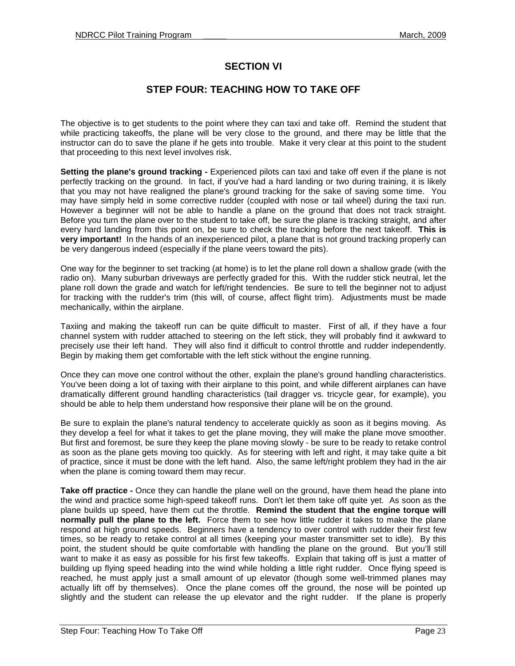## **SECTION VI**

## **STEP FOUR: TEACHING HOW TO TAKE OFF**

The objective is to get students to the point where they can taxi and take off. Remind the student that while practicing takeoffs, the plane will be very close to the ground, and there may be little that the instructor can do to save the plane if he gets into trouble. Make it very clear at this point to the student that proceeding to this next level involves risk.

**Setting the plane's ground tracking -** Experienced pilots can taxi and take off even if the plane is not perfectly tracking on the ground. In fact, if you've had a hard landing or two during training, it is likely that you may not have realigned the plane's ground tracking for the sake of saving some time. You may have simply held in some corrective rudder (coupled with nose or tail wheel) during the taxi run. However a beginner will not be able to handle a plane on the ground that does not track straight. Before you turn the plane over to the student to take off, be sure the plane is tracking straight, and after every hard landing from this point on, be sure to check the tracking before the next takeoff. **This is very important!** In the hands of an inexperienced pilot, a plane that is not ground tracking properly can be very dangerous indeed (especially if the plane veers toward the pits).

One way for the beginner to set tracking (at home) is to let the plane roll down a shallow grade (with the radio on). Many suburban driveways are perfectly graded for this. With the rudder stick neutral, let the plane roll down the grade and watch for left/right tendencies. Be sure to tell the beginner not to adjust for tracking with the rudder's trim (this will, of course, affect flight trim). Adjustments must be made mechanically, within the airplane.

Taxiing and making the takeoff run can be quite difficult to master. First of all, if they have a four channel system with rudder attached to steering on the left stick, they will probably find it awkward to precisely use their left hand. They will also find it difficult to control throttle and rudder independently. Begin by making them get comfortable with the left stick without the engine running.

Once they can move one control without the other, explain the plane's ground handling characteristics. You've been doing a lot of taxing with their airplane to this point, and while different airplanes can have dramatically different ground handling characteristics (tail dragger vs. tricycle gear, for example), you should be able to help them understand how responsive their plane will be on the ground.

Be sure to explain the plane's natural tendency to accelerate quickly as soon as it begins moving. As they develop a feel for what it takes to get the plane moving, they will make the plane move smoother. But first and foremost, be sure they keep the plane moving slowly - be sure to be ready to retake control as soon as the plane gets moving too quickly. As for steering with left and right, it may take quite a bit of practice, since it must be done with the left hand. Also, the same left/right problem they had in the air when the plane is coming toward them may recur.

**Take off practice -** Once they can handle the plane well on the ground, have them head the plane into the wind and practice some high-speed takeoff runs. Don't let them take off quite yet. As soon as the plane builds up speed, have them cut the throttle. **Remind the student that the engine torque will normally pull the plane to the left.** Force them to see how little rudder it takes to make the plane respond at high ground speeds. Beginners have a tendency to over control with rudder their first few times, so be ready to retake control at all times (keeping your master transmitter set to idle). By this point, the student should be quite comfortable with handling the plane on the ground. But you'll still want to make it as easy as possible for his first few takeoffs. Explain that taking off is just a matter of building up flying speed heading into the wind while holding a little right rudder. Once flying speed is reached, he must apply just a small amount of up elevator (though some well-trimmed planes may actually lift off by themselves). Once the plane comes off the ground, the nose will be pointed up slightly and the student can release the up elevator and the right rudder. If the plane is properly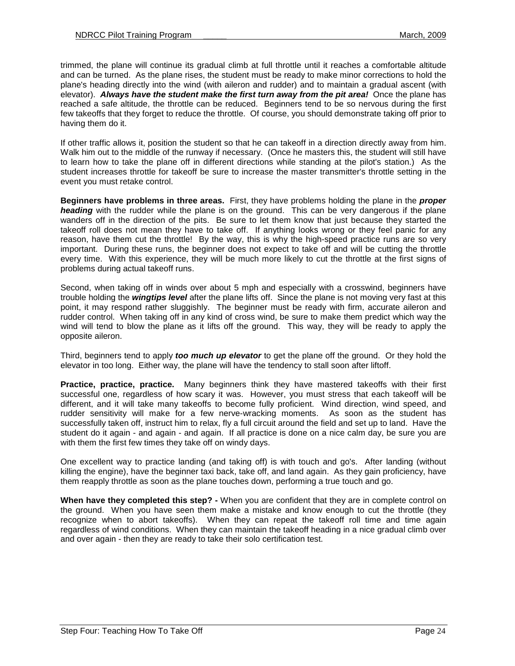trimmed, the plane will continue its gradual climb at full throttle until it reaches a comfortable altitude and can be turned. As the plane rises, the student must be ready to make minor corrections to hold the plane's heading directly into the wind (with aileron and rudder) and to maintain a gradual ascent (with elevator). **Always have the student make the first turn away from the pit area!** Once the plane has reached a safe altitude, the throttle can be reduced. Beginners tend to be so nervous during the first few takeoffs that they forget to reduce the throttle. Of course, you should demonstrate taking off prior to having them do it.

If other traffic allows it, position the student so that he can takeoff in a direction directly away from him. Walk him out to the middle of the runway if necessary. (Once he masters this, the student will still have to learn how to take the plane off in different directions while standing at the pilot's station.) As the student increases throttle for takeoff be sure to increase the master transmitter's throttle setting in the event you must retake control.

**Beginners have problems in three areas.** First, they have problems holding the plane in the **proper heading** with the rudder while the plane is on the ground. This can be very dangerous if the plane wanders off in the direction of the pits. Be sure to let them know that just because they started the takeoff roll does not mean they have to take off. If anything looks wrong or they feel panic for any reason, have them cut the throttle! By the way, this is why the high-speed practice runs are so very important. During these runs, the beginner does not expect to take off and will be cutting the throttle every time. With this experience, they will be much more likely to cut the throttle at the first signs of problems during actual takeoff runs.

Second, when taking off in winds over about 5 mph and especially with a crosswind, beginners have trouble holding the **wingtips level** after the plane lifts off. Since the plane is not moving very fast at this point, it may respond rather sluggishly. The beginner must be ready with firm, accurate aileron and rudder control. When taking off in any kind of cross wind, be sure to make them predict which way the wind will tend to blow the plane as it lifts off the ground. This way, they will be ready to apply the opposite aileron.

Third, beginners tend to apply **too much up elevator** to get the plane off the ground. Or they hold the elevator in too long. Either way, the plane will have the tendency to stall soon after liftoff.

**Practice, practice, practice.** Many beginners think they have mastered takeoffs with their first successful one, regardless of how scary it was. However, you must stress that each takeoff will be different, and it will take many takeoffs to become fully proficient. Wind direction, wind speed, and rudder sensitivity will make for a few nerve-wracking moments. As soon as the student has successfully taken off, instruct him to relax, fly a full circuit around the field and set up to land. Have the student do it again - and again - and again. If all practice is done on a nice calm day, be sure you are with them the first few times they take off on windy days.

One excellent way to practice landing (and taking off) is with touch and go's. After landing (without killing the engine), have the beginner taxi back, take off, and land again. As they gain proficiency, have them reapply throttle as soon as the plane touches down, performing a true touch and go.

**When have they completed this step? -** When you are confident that they are in complete control on the ground. When you have seen them make a mistake and know enough to cut the throttle (they recognize when to abort takeoffs). When they can repeat the takeoff roll time and time again regardless of wind conditions. When they can maintain the takeoff heading in a nice gradual climb over and over again - then they are ready to take their solo certification test.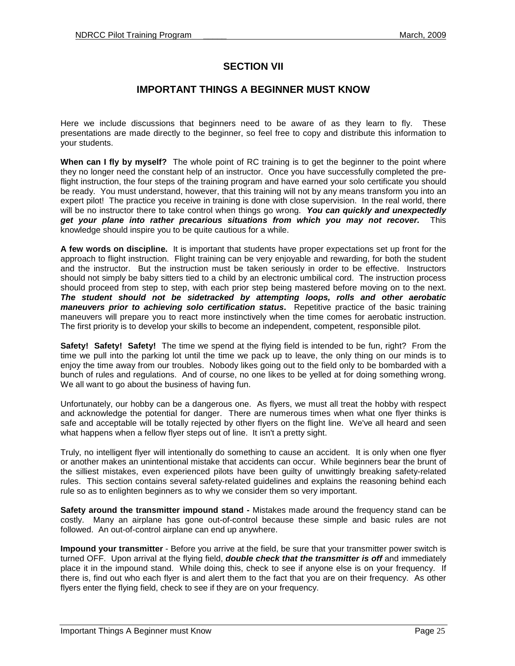## **SECTION VII**

## **IMPORTANT THINGS A BEGINNER MUST KNOW**

Here we include discussions that beginners need to be aware of as they learn to fly. These presentations are made directly to the beginner, so feel free to copy and distribute this information to your students.

**When can I fly by myself?** The whole point of RC training is to get the beginner to the point where they no longer need the constant help of an instructor. Once you have successfully completed the preflight instruction, the four steps of the training program and have earned your solo certificate you should be ready. You must understand, however, that this training will not by any means transform you into an expert pilot! The practice you receive in training is done with close supervision. In the real world, there will be no instructor there to take control when things go wrong. **You can quickly and unexpectedly get your plane into rather precarious situations from which you may not recover.** This knowledge should inspire you to be quite cautious for a while.

**A few words on discipline.** It is important that students have proper expectations set up front for the approach to flight instruction. Flight training can be very enjoyable and rewarding, for both the student and the instructor. But the instruction must be taken seriously in order to be effective. Instructors should not simply be baby sitters tied to a child by an electronic umbilical cord. The instruction process should proceed from step to step, with each prior step being mastered before moving on to the next. **The student should not be sidetracked by attempting loops, rolls and other aerobatic maneuvers prior to achieving solo certification status.** Repetitive practice of the basic training maneuvers will prepare you to react more instinctively when the time comes for aerobatic instruction. The first priority is to develop your skills to become an independent, competent, responsible pilot.

**Safety! Safety! Safety!** The time we spend at the flying field is intended to be fun, right? From the time we pull into the parking lot until the time we pack up to leave, the only thing on our minds is to enjoy the time away from our troubles. Nobody likes going out to the field only to be bombarded with a bunch of rules and regulations. And of course, no one likes to be yelled at for doing something wrong. We all want to go about the business of having fun.

Unfortunately, our hobby can be a dangerous one. As flyers, we must all treat the hobby with respect and acknowledge the potential for danger. There are numerous times when what one flyer thinks is safe and acceptable will be totally rejected by other flyers on the flight line. We've all heard and seen what happens when a fellow flyer steps out of line. It isn't a pretty sight.

Truly, no intelligent flyer will intentionally do something to cause an accident. It is only when one flyer or another makes an unintentional mistake that accidents can occur. While beginners bear the brunt of the silliest mistakes, even experienced pilots have been guilty of unwittingly breaking safety-related rules. This section contains several safety-related guidelines and explains the reasoning behind each rule so as to enlighten beginners as to why we consider them so very important.

**Safety around the transmitter impound stand -** Mistakes made around the frequency stand can be costly. Many an airplane has gone out-of-control because these simple and basic rules are not followed. An out-of-control airplane can end up anywhere.

**Impound your transmitter** - Before you arrive at the field, be sure that your transmitter power switch is turned OFF. Upon arrival at the flying field, **double check that the transmitter is off** and immediately place it in the impound stand. While doing this, check to see if anyone else is on your frequency. If there is, find out who each flyer is and alert them to the fact that you are on their frequency. As other flyers enter the flying field, check to see if they are on your frequency.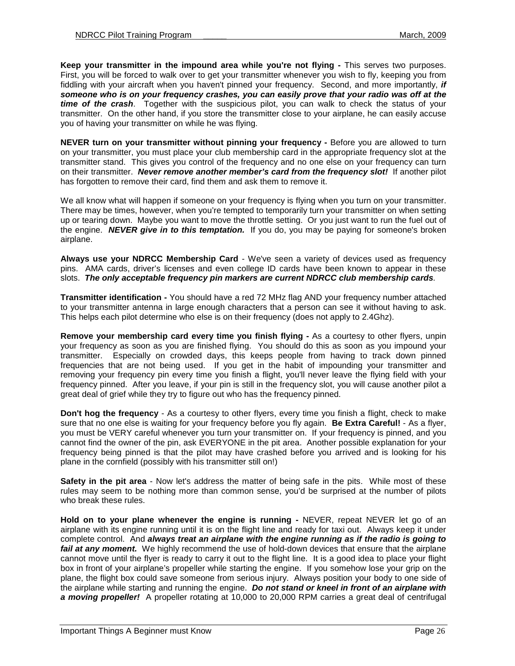**Keep your transmitter in the impound area while you're not flying -** This serves two purposes. First, you will be forced to walk over to get your transmitter whenever you wish to fly, keeping you from fiddling with your aircraft when you haven't pinned your frequency. Second, and more importantly, **if someone who is on your frequency crashes, you can easily prove that your radio was off at the time of the crash**. Together with the suspicious pilot, you can walk to check the status of your transmitter. On the other hand, if you store the transmitter close to your airplane, he can easily accuse you of having your transmitter on while he was flying.

**NEVER turn on your transmitter without pinning your frequency - Before you are allowed to turn** on your transmitter, you must place your club membership card in the appropriate frequency slot at the transmitter stand. This gives you control of the frequency and no one else on your frequency can turn on their transmitter. **Never remove another member's card from the frequency slot!** If another pilot has forgotten to remove their card, find them and ask them to remove it.

We all know what will happen if someone on your frequency is flying when you turn on your transmitter. There may be times, however, when you're tempted to temporarily turn your transmitter on when setting up or tearing down. Maybe you want to move the throttle setting. Or you just want to run the fuel out of the engine. **NEVER give in to this temptation.** If you do, you may be paying for someone's broken airplane.

**Always use your NDRCC Membership Card** - We've seen a variety of devices used as frequency pins. AMA cards, driver's licenses and even college ID cards have been known to appear in these slots. **The only acceptable frequency pin markers are current NDRCC club membership cards**.

**Transmitter identification -** You should have a red 72 MHz flag AND your frequency number attached to your transmitter antenna in large enough characters that a person can see it without having to ask. This helps each pilot determine who else is on their frequency (does not apply to 2.4Ghz).

**Remove your membership card every time you finish flying - As a courtesy to other flyers, unpin** your frequency as soon as you are finished flying. You should do this as soon as you impound your transmitter. Especially on crowded days, this keeps people from having to track down pinned frequencies that are not being used. If you get in the habit of impounding your transmitter and removing your frequency pin every time you finish a flight, you'll never leave the flying field with your frequency pinned. After you leave, if your pin is still in the frequency slot, you will cause another pilot a great deal of grief while they try to figure out who has the frequency pinned.

**Don't hog the frequency** - As a courtesy to other flyers, every time you finish a flight, check to make sure that no one else is waiting for your frequency before you fly again. **Be Extra Careful!** - As a flyer, you must be VERY careful whenever you turn your transmitter on. If your frequency is pinned, and you cannot find the owner of the pin, ask EVERYONE in the pit area. Another possible explanation for your frequency being pinned is that the pilot may have crashed before you arrived and is looking for his plane in the cornfield (possibly with his transmitter still on!)

**Safety in the pit area** - Now let's address the matter of being safe in the pits. While most of these rules may seem to be nothing more than common sense, you'd be surprised at the number of pilots who break these rules.

**Hold on to your plane whenever the engine is running - NEVER, repeat NEVER let go of an** airplane with its engine running until it is on the flight line and ready for taxi out. Always keep it under complete control. And **always treat an airplane with the engine running as if the radio is going to fail at any moment.** We highly recommend the use of hold-down devices that ensure that the airplane cannot move until the flyer is ready to carry it out to the flight line. It is a good idea to place your flight box in front of your airplane's propeller while starting the engine. If you somehow lose your grip on the plane, the flight box could save someone from serious injury. Always position your body to one side of the airplane while starting and running the engine. **Do not stand or kneel in front of an airplane with a moving propeller!** A propeller rotating at 10,000 to 20,000 RPM carries a great deal of centrifugal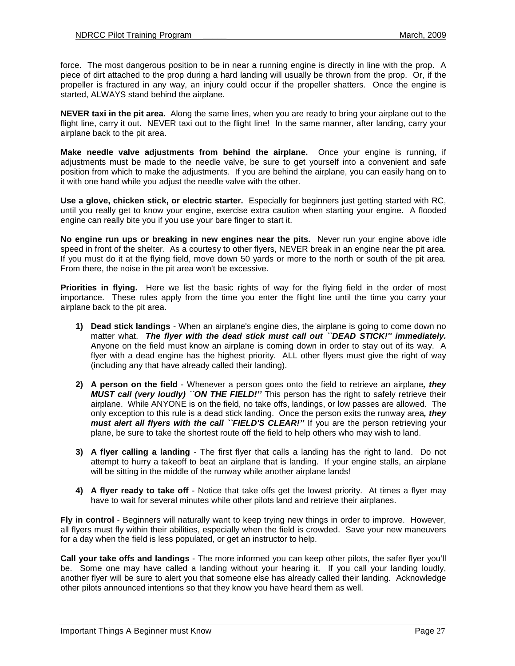force. The most dangerous position to be in near a running engine is directly in line with the prop. A piece of dirt attached to the prop during a hard landing will usually be thrown from the prop. Or, if the propeller is fractured in any way, an injury could occur if the propeller shatters. Once the engine is started, ALWAYS stand behind the airplane.

**NEVER taxi in the pit area.** Along the same lines, when you are ready to bring your airplane out to the flight line, carry it out. NEVER taxi out to the flight line! In the same manner, after landing, carry your airplane back to the pit area.

**Make needle valve adjustments from behind the airplane.** Once your engine is running, if adjustments must be made to the needle valve, be sure to get yourself into a convenient and safe position from which to make the adjustments. If you are behind the airplane, you can easily hang on to it with one hand while you adjust the needle valve with the other.

**Use a glove, chicken stick, or electric starter.** Especially for beginners just getting started with RC, until you really get to know your engine, exercise extra caution when starting your engine. A flooded engine can really bite you if you use your bare finger to start it.

**No engine run ups or breaking in new engines near the pits.** Never run your engine above idle speed in front of the shelter. As a courtesy to other flyers, NEVER break in an engine near the pit area. If you must do it at the flying field, move down 50 yards or more to the north or south of the pit area. From there, the noise in the pit area won't be excessive.

**Priorities in flying.** Here we list the basic rights of way for the flying field in the order of most importance. These rules apply from the time you enter the flight line until the time you carry your airplane back to the pit area.

- **1) Dead stick landings**  When an airplane's engine dies, the airplane is going to come down no matter what. **The flyer with the dead stick must call out ``DEAD STICK!'' immediately.**  Anyone on the field must know an airplane is coming down in order to stay out of its way. A flyer with a dead engine has the highest priority. ALL other flyers must give the right of way (including any that have already called their landing).
- **2) A person on the field**  Whenever a person goes onto the field to retrieve an airplane**, they MUST call (very loudly) ``ON THE FIELD!''** This person has the right to safely retrieve their airplane. While ANYONE is on the field, no take offs, landings, or low passes are allowed. The only exception to this rule is a dead stick landing. Once the person exits the runway area**, they must alert all flyers with the call ``FIELD'S CLEAR!''** If you are the person retrieving your plane, be sure to take the shortest route off the field to help others who may wish to land.
- **3) A flyer calling a landing**  The first flyer that calls a landing has the right to land. Do not attempt to hurry a takeoff to beat an airplane that is landing. If your engine stalls, an airplane will be sitting in the middle of the runway while another airplane lands!
- **4) A flyer ready to take off**  Notice that take offs get the lowest priority. At times a flyer may have to wait for several minutes while other pilots land and retrieve their airplanes.

**Fly in control** - Beginners will naturally want to keep trying new things in order to improve. However, all flyers must fly within their abilities, especially when the field is crowded. Save your new maneuvers for a day when the field is less populated, or get an instructor to help.

**Call your take offs and landings** - The more informed you can keep other pilots, the safer flyer you'll be. Some one may have called a landing without your hearing it. If you call your landing loudly, another flyer will be sure to alert you that someone else has already called their landing. Acknowledge other pilots announced intentions so that they know you have heard them as well.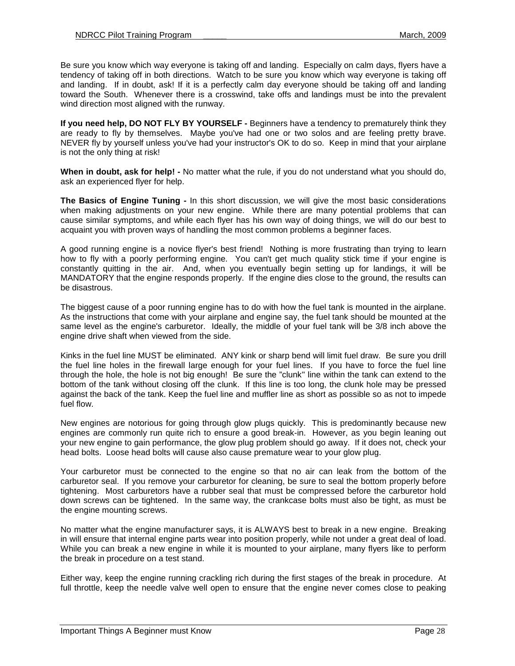Be sure you know which way everyone is taking off and landing. Especially on calm days, flyers have a tendency of taking off in both directions. Watch to be sure you know which way everyone is taking off and landing. If in doubt, ask! If it is a perfectly calm day everyone should be taking off and landing toward the South. Whenever there is a crosswind, take offs and landings must be into the prevalent wind direction most aligned with the runway.

**If you need help, DO NOT FLY BY YOURSELF -** Beginners have a tendency to prematurely think they are ready to fly by themselves. Maybe you've had one or two solos and are feeling pretty brave. NEVER fly by yourself unless you've had your instructor's OK to do so. Keep in mind that your airplane is not the only thing at risk!

**When in doubt, ask for help! -** No matter what the rule, if you do not understand what you should do, ask an experienced flyer for help.

**The Basics of Engine Tuning -** In this short discussion, we will give the most basic considerations when making adjustments on your new engine. While there are many potential problems that can cause similar symptoms, and while each flyer has his own way of doing things, we will do our best to acquaint you with proven ways of handling the most common problems a beginner faces.

A good running engine is a novice flyer's best friend! Nothing is more frustrating than trying to learn how to fly with a poorly performing engine. You can't get much quality stick time if your engine is constantly quitting in the air. And, when you eventually begin setting up for landings, it will be MANDATORY that the engine responds properly. If the engine dies close to the ground, the results can be disastrous.

The biggest cause of a poor running engine has to do with how the fuel tank is mounted in the airplane. As the instructions that come with your airplane and engine say, the fuel tank should be mounted at the same level as the engine's carburetor. Ideally, the middle of your fuel tank will be 3/8 inch above the engine drive shaft when viewed from the side.

Kinks in the fuel line MUST be eliminated. ANY kink or sharp bend will limit fuel draw. Be sure you drill the fuel line holes in the firewall large enough for your fuel lines. If you have to force the fuel line through the hole, the hole is not big enough! Be sure the "clunk'' line within the tank can extend to the bottom of the tank without closing off the clunk. If this line is too long, the clunk hole may be pressed against the back of the tank. Keep the fuel line and muffler line as short as possible so as not to impede fuel flow.

New engines are notorious for going through glow plugs quickly. This is predominantly because new engines are commonly run quite rich to ensure a good break-in. However, as you begin leaning out your new engine to gain performance, the glow plug problem should go away. If it does not, check your head bolts. Loose head bolts will cause also cause premature wear to your glow plug.

Your carburetor must be connected to the engine so that no air can leak from the bottom of the carburetor seal. If you remove your carburetor for cleaning, be sure to seal the bottom properly before tightening. Most carburetors have a rubber seal that must be compressed before the carburetor hold down screws can be tightened. In the same way, the crankcase bolts must also be tight, as must be the engine mounting screws.

No matter what the engine manufacturer says, it is ALWAYS best to break in a new engine. Breaking in will ensure that internal engine parts wear into position properly, while not under a great deal of load. While you can break a new engine in while it is mounted to your airplane, many flyers like to perform the break in procedure on a test stand.

Either way, keep the engine running crackling rich during the first stages of the break in procedure. At full throttle, keep the needle valve well open to ensure that the engine never comes close to peaking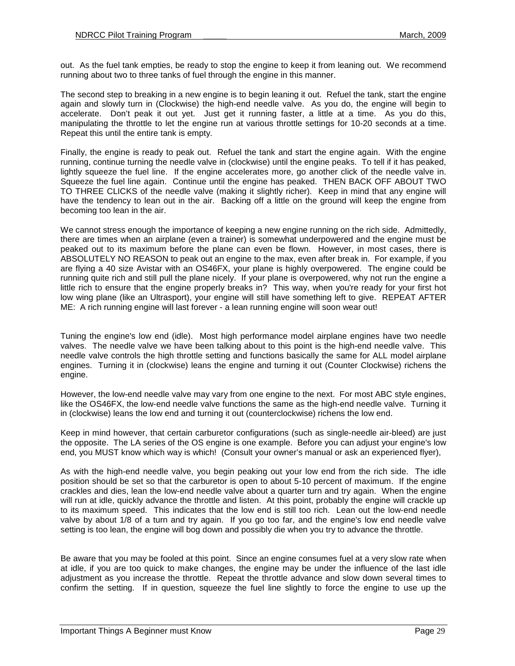out. As the fuel tank empties, be ready to stop the engine to keep it from leaning out. We recommend running about two to three tanks of fuel through the engine in this manner.

The second step to breaking in a new engine is to begin leaning it out. Refuel the tank, start the engine again and slowly turn in (Clockwise) the high-end needle valve. As you do, the engine will begin to accelerate. Don't peak it out yet. Just get it running faster, a little at a time. As you do this, manipulating the throttle to let the engine run at various throttle settings for 10-20 seconds at a time. Repeat this until the entire tank is empty.

Finally, the engine is ready to peak out. Refuel the tank and start the engine again. With the engine running, continue turning the needle valve in (clockwise) until the engine peaks. To tell if it has peaked, lightly squeeze the fuel line. If the engine accelerates more, go another click of the needle valve in. Squeeze the fuel line again. Continue until the engine has peaked. THEN BACK OFF ABOUT TWO TO THREE CLICKS of the needle valve (making it slightly richer). Keep in mind that any engine will have the tendency to lean out in the air. Backing off a little on the ground will keep the engine from becoming too lean in the air.

We cannot stress enough the importance of keeping a new engine running on the rich side. Admittedly, there are times when an airplane (even a trainer) is somewhat underpowered and the engine must be peaked out to its maximum before the plane can even be flown. However, in most cases, there is ABSOLUTELY NO REASON to peak out an engine to the max, even after break in. For example, if you are flying a 40 size Avistar with an OS46FX, your plane is highly overpowered. The engine could be running quite rich and still pull the plane nicely. If your plane is overpowered, why not run the engine a little rich to ensure that the engine properly breaks in? This way, when you're ready for your first hot low wing plane (like an Ultrasport), your engine will still have something left to give. REPEAT AFTER ME: A rich running engine will last forever - a lean running engine will soon wear out!

Tuning the engine's low end (idle). Most high performance model airplane engines have two needle valves. The needle valve we have been talking about to this point is the high-end needle valve. This needle valve controls the high throttle setting and functions basically the same for ALL model airplane engines. Turning it in (clockwise) leans the engine and turning it out (Counter Clockwise) richens the engine.

However, the low-end needle valve may vary from one engine to the next. For most ABC style engines, like the OS46FX, the low-end needle valve functions the same as the high-end needle valve. Turning it in (clockwise) leans the low end and turning it out (counterclockwise) richens the low end.

Keep in mind however, that certain carburetor configurations (such as single-needle air-bleed) are just the opposite. The LA series of the OS engine is one example. Before you can adjust your engine's low end, you MUST know which way is which! (Consult your owner's manual or ask an experienced flyer),

As with the high-end needle valve, you begin peaking out your low end from the rich side. The idle position should be set so that the carburetor is open to about 5-10 percent of maximum. If the engine crackles and dies, lean the low-end needle valve about a quarter turn and try again. When the engine will run at idle, quickly advance the throttle and listen. At this point, probably the engine will crackle up to its maximum speed. This indicates that the low end is still too rich. Lean out the low-end needle valve by about 1/8 of a turn and try again. If you go too far, and the engine's low end needle valve setting is too lean, the engine will bog down and possibly die when you try to advance the throttle.

Be aware that you may be fooled at this point. Since an engine consumes fuel at a very slow rate when at idle, if you are too quick to make changes, the engine may be under the influence of the last idle adjustment as you increase the throttle. Repeat the throttle advance and slow down several times to confirm the setting. If in question, squeeze the fuel line slightly to force the engine to use up the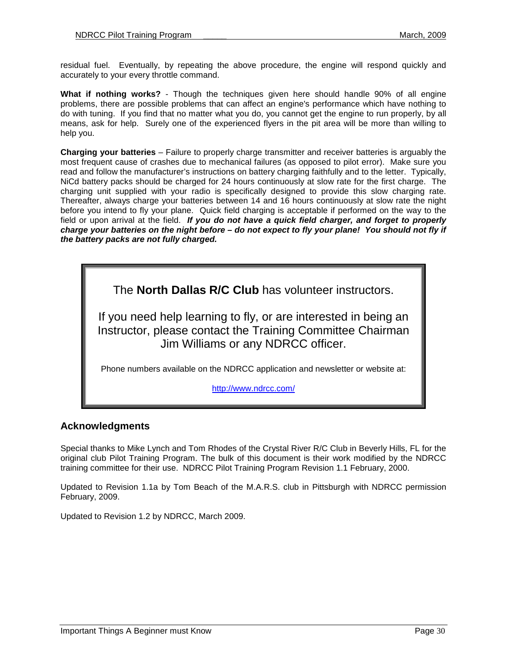residual fuel. Eventually, by repeating the above procedure, the engine will respond quickly and accurately to your every throttle command.

**What if nothing works?** - Though the techniques given here should handle 90% of all engine problems, there are possible problems that can affect an engine's performance which have nothing to do with tuning. If you find that no matter what you do, you cannot get the engine to run properly, by all means, ask for help. Surely one of the experienced flyers in the pit area will be more than willing to help you.

**Charging your batteries** – Failure to properly charge transmitter and receiver batteries is arguably the most frequent cause of crashes due to mechanical failures (as opposed to pilot error). Make sure you read and follow the manufacturer's instructions on battery charging faithfully and to the letter. Typically, NiCd battery packs should be charged for 24 hours continuously at slow rate for the first charge. The charging unit supplied with your radio is specifically designed to provide this slow charging rate. Thereafter, always charge your batteries between 14 and 16 hours continuously at slow rate the night before you intend to fly your plane. Quick field charging is acceptable if performed on the way to the field or upon arrival at the field. **If you do not have a quick field charger, and forget to properly charge your batteries on the night before – do not expect to fly your plane! You should not fly if the battery packs are not fully charged.** 

The **North Dallas R/C Club** has volunteer instructors.

If you need help learning to fly, or are interested in being an Instructor, please contact the Training Committee Chairman Jim Williams or any NDRCC officer.

Phone numbers available on the NDRCC application and newsletter or website at:

http://www.ndrcc.com/

## **Acknowledgments**

Special thanks to Mike Lynch and Tom Rhodes of the Crystal River R/C Club in Beverly Hills, FL for the original club Pilot Training Program. The bulk of this document is their work modified by the NDRCC training committee for their use. NDRCC Pilot Training Program Revision 1.1 February, 2000.

Updated to Revision 1.1a by Tom Beach of the M.A.R.S. club in Pittsburgh with NDRCC permission February, 2009.

Updated to Revision 1.2 by NDRCC, March 2009.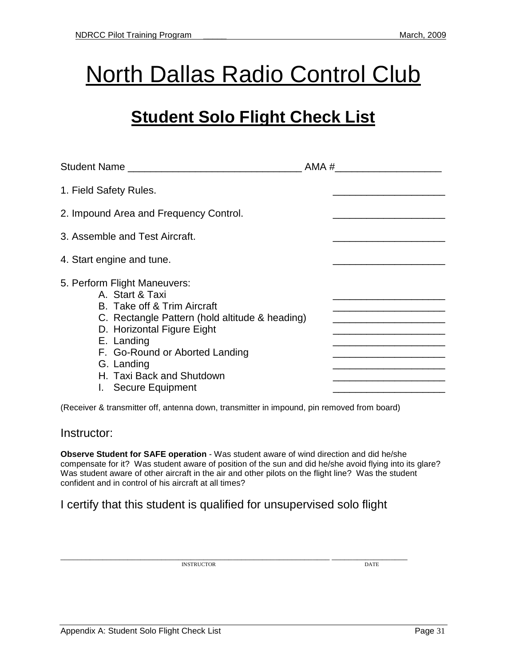## **North Dallas Radio Control Club**

## **Student Solo Flight Check List**

| <b>Student Name</b>                                                                                                                                                                                                                                                              | AMA # |  |  |
|----------------------------------------------------------------------------------------------------------------------------------------------------------------------------------------------------------------------------------------------------------------------------------|-------|--|--|
| 1. Field Safety Rules.                                                                                                                                                                                                                                                           |       |  |  |
| 2. Impound Area and Frequency Control.                                                                                                                                                                                                                                           |       |  |  |
| 3. Assemble and Test Aircraft.                                                                                                                                                                                                                                                   |       |  |  |
| 4. Start engine and tune.                                                                                                                                                                                                                                                        |       |  |  |
| 5. Perform Flight Maneuvers:<br>A. Start & Taxi<br>B. Take off & Trim Aircraft<br>C. Rectangle Pattern (hold altitude & heading)<br>D. Horizontal Figure Eight<br>E. Landing<br>F. Go-Round or Aborted Landing<br>G. Landing<br>H. Taxi Back and Shutdown<br>I. Secure Equipment |       |  |  |

(Receiver & transmitter off, antenna down, transmitter in impound, pin removed from board)

## Instructor:

**Observe Student for SAFE operation** - Was student aware of wind direction and did he/she compensate for it? Was student aware of position of the sun and did he/she avoid flying into its glare? Was student aware of other aircraft in the air and other pilots on the flight line? Was the student confident and in control of his aircraft at all times?

## I certify that this student is qualified for unsupervised solo flight

\_\_\_\_\_\_\_\_\_\_\_\_\_\_\_\_\_\_\_\_\_\_\_\_\_\_\_\_\_\_\_\_\_\_\_\_\_\_\_\_\_\_\_\_\_\_\_\_\_\_\_\_\_\_\_\_\_\_\_\_\_\_\_\_ \_\_\_\_\_\_\_\_\_\_\_\_\_\_\_\_\_\_ INSTRUCTOR DATE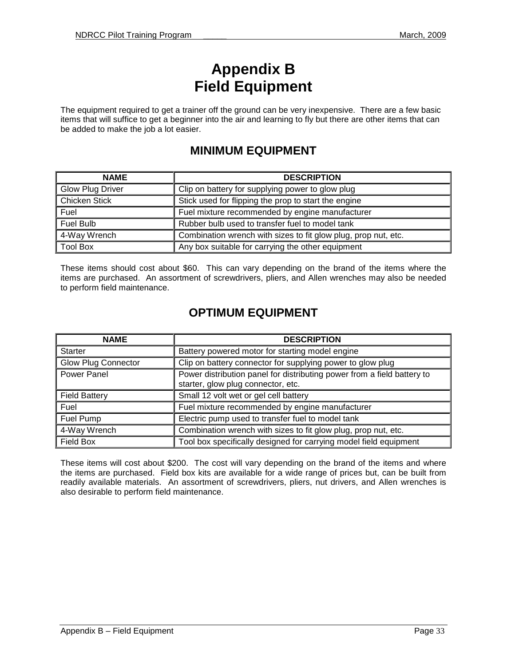## **Appendix B Field Equipment**

The equipment required to get a trainer off the ground can be very inexpensive. There are a few basic items that will suffice to get a beginner into the air and learning to fly but there are other items that can be added to make the job a lot easier.

## **MINIMUM EQUIPMENT**

| <b>NAME</b>          | <b>DESCRIPTION</b>                                             |
|----------------------|----------------------------------------------------------------|
| Glow Plug Driver     | Clip on battery for supplying power to glow plug               |
| <b>Chicken Stick</b> | Stick used for flipping the prop to start the engine           |
| Fuel                 | Fuel mixture recommended by engine manufacturer                |
| Fuel Bulb            | Rubber bulb used to transfer fuel to model tank                |
| 4-Way Wrench         | Combination wrench with sizes to fit glow plug, prop nut, etc. |
| <b>Tool Box</b>      | Any box suitable for carrying the other equipment              |

These items should cost about \$60. This can vary depending on the brand of the items where the items are purchased. An assortment of screwdrivers, pliers, and Allen wrenches may also be needed to perform field maintenance.

## **OPTIMUM EQUIPMENT**

| <b>NAME</b>                | <b>DESCRIPTION</b>                                                                                            |
|----------------------------|---------------------------------------------------------------------------------------------------------------|
| <b>Starter</b>             | Battery powered motor for starting model engine                                                               |
| <b>Glow Plug Connector</b> | Clip on battery connector for supplying power to glow plug                                                    |
| Power Panel                | Power distribution panel for distributing power from a field battery to<br>starter, glow plug connector, etc. |
| <b>Field Battery</b>       | Small 12 volt wet or gel cell battery                                                                         |
| Fuel                       | Fuel mixture recommended by engine manufacturer                                                               |
| Fuel Pump                  | Electric pump used to transfer fuel to model tank                                                             |
| 4-Way Wrench               | Combination wrench with sizes to fit glow plug, prop nut, etc.                                                |
| Field Box                  | Tool box specifically designed for carrying model field equipment                                             |

These items will cost about \$200. The cost will vary depending on the brand of the items and where the items are purchased. Field box kits are available for a wide range of prices but, can be built from readily available materials. An assortment of screwdrivers, pliers, nut drivers, and Allen wrenches is also desirable to perform field maintenance.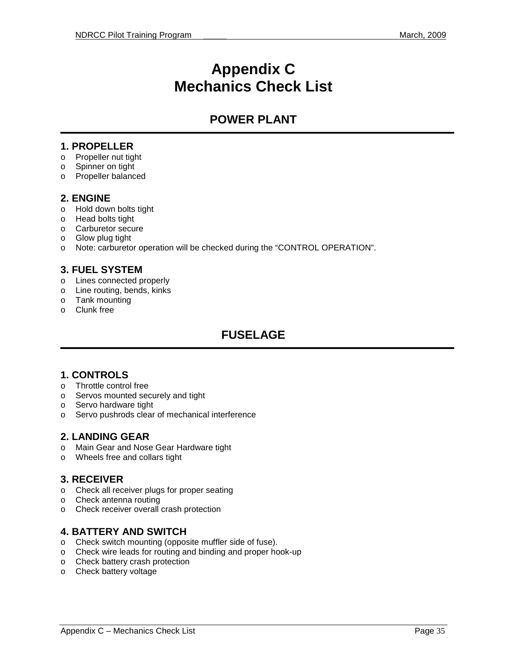## **Appendix C Mechanics Check List**

## **POWER PLANT**

## **1. PROPELLER**

- o Propeller nut tight
- o Spinner on tight
- o Propeller balanced

#### **2. ENGINE**

- o Hold down bolts tight
- o Head bolts tight
- o Carburetor secure
- o Glow plug tight
- o Note: carburetor operation will be checked during the "CONTROL OPERATION".

## **3. FUEL SYSTEM**

- o Lines connected properly
- o Line routing, bends, kinks
- o Tank mounting
- o Clunk free

## **FUSELAGE**

## **1. CONTROLS**

- o Throttle control free
- o Servos mounted securely and tight
- o Servo hardware tight
- o Servo pushrods clear of mechanical interference

## **2. LANDING GEAR**

- o Main Gear and Nose Gear Hardware tight
- o Wheels free and collars tight

## **3. RECEIVER**

- o Check all receiver plugs for proper seating
- o Check antenna routing
- o Check receiver overall crash protection

## **4. BATTERY AND SWITCH**

- o Check switch mounting (opposite muffler side of fuse).
- o Check wire leads for routing and binding and proper hook-up
- o Check battery crash protection
- o Check battery voltage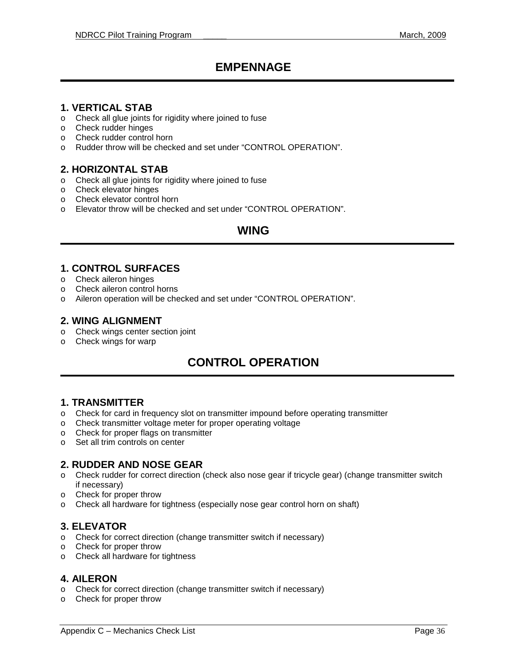## **EMPENNAGE**

## **1. VERTICAL STAB**

- o Check all glue joints for rigidity where joined to fuse
- o Check rudder hinges
- o Check rudder control horn
- o Rudder throw will be checked and set under "CONTROL OPERATION".

## **2. HORIZONTAL STAB**

- o Check all glue joints for rigidity where joined to fuse
- o Check elevator hinges
- o Check elevator control horn
- o Elevator throw will be checked and set under "CONTROL OPERATION".

## **WING**

#### **1. CONTROL SURFACES**

- o Check aileron hinges
- o Check aileron control horns
- o Aileron operation will be checked and set under "CONTROL OPERATION".

#### **2. WING ALIGNMENT**

- o Check wings center section joint
- o Check wings for warp

## **CONTROL OPERATION**

## **1. TRANSMITTER**

- o Check for card in frequency slot on transmitter impound before operating transmitter
- o Check transmitter voltage meter for proper operating voltage
- o Check for proper flags on transmitter
- o Set all trim controls on center

#### **2. RUDDER AND NOSE GEAR**

- o Check rudder for correct direction (check also nose gear if tricycle gear) (change transmitter switch if necessary)
- o Check for proper throw
- o Check all hardware for tightness (especially nose gear control horn on shaft)

## **3. ELEVATOR**

- o Check for correct direction (change transmitter switch if necessary)
- o Check for proper throw
- o Check all hardware for tightness

#### **4. AILERON**

- o Check for correct direction (change transmitter switch if necessary)
- o Check for proper throw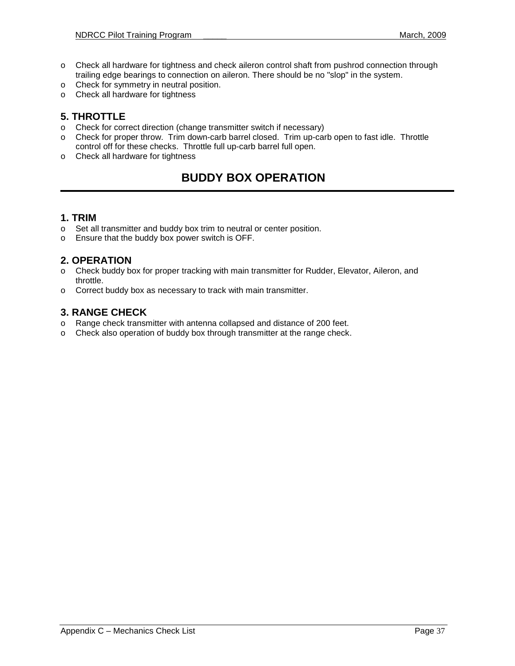- o Check all hardware for tightness and check aileron control shaft from pushrod connection through trailing edge bearings to connection on aileron. There should be no "slop" in the system.
- o Check for symmetry in neutral position.
- o Check all hardware for tightness

## **5. THROTTLE**

- o Check for correct direction (change transmitter switch if necessary)
- o Check for proper throw. Trim down-carb barrel closed. Trim up-carb open to fast idle. Throttle control off for these checks. Throttle full up-carb barrel full open.
- o Check all hardware for tightness

## **BUDDY BOX OPERATION**

## **1. TRIM**

- o Set all transmitter and buddy box trim to neutral or center position.
- o Ensure that the buddy box power switch is OFF.

## **2. OPERATION**

- o Check buddy box for proper tracking with main transmitter for Rudder, Elevator, Aileron, and throttle.
- o Correct buddy box as necessary to track with main transmitter.

## **3. RANGE CHECK**

- o Range check transmitter with antenna collapsed and distance of 200 feet.
- o Check also operation of buddy box through transmitter at the range check.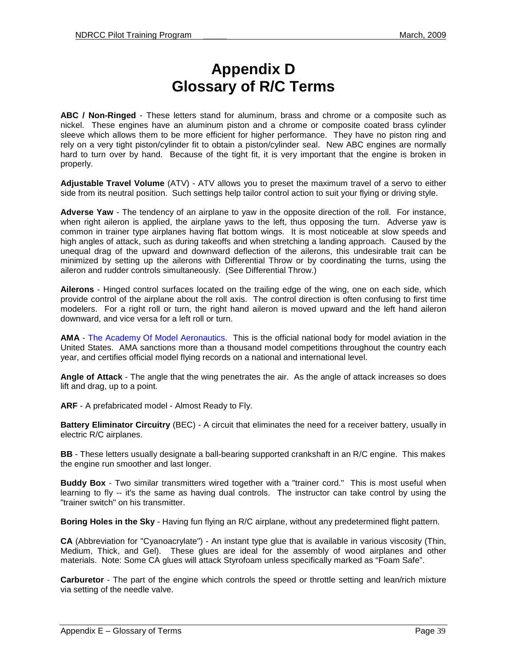## **Appendix D Glossary of R/C Terms**

**ABC / Non-Ringed** - These letters stand for aluminum, brass and chrome or a composite such as nickel. These engines have an aluminum piston and a chrome or composite coated brass cylinder sleeve which allows them to be more efficient for higher performance. They have no piston ring and rely on a very tight piston/cylinder fit to obtain a piston/cylinder seal. New ABC engines are normally hard to turn over by hand. Because of the tight fit, it is very important that the engine is broken in properly.

**Adjustable Travel Volume** (ATV) - ATV allows you to preset the maximum travel of a servo to either side from its neutral position. Such settings help tailor control action to suit your flying or driving style.

**Adverse Yaw** - The tendency of an airplane to yaw in the opposite direction of the roll. For instance, when right aileron is applied, the airplane yaws to the left, thus opposing the turn. Adverse yaw is common in trainer type airplanes having flat bottom wings. It is most noticeable at slow speeds and high angles of attack, such as during takeoffs and when stretching a landing approach. Caused by the unequal drag of the upward and downward deflection of the ailerons, this undesirable trait can be minimized by setting up the ailerons with Differential Throw or by coordinating the turns, using the aileron and rudder controls simultaneously. (See Differential Throw.)

**Ailerons** - Hinged control surfaces located on the trailing edge of the wing, one on each side, which provide control of the airplane about the roll axis. The control direction is often confusing to first time modelers. For a right roll or turn, the right hand aileron is moved upward and the left hand aileron downward, and vice versa for a left roll or turn.

**AMA** - The Academy Of Model Aeronautics. This is the official national body for model aviation in the United States. AMA sanctions more than a thousand model competitions throughout the country each year, and certifies official model flying records on a national and international level.

**Angle of Attack** - The angle that the wing penetrates the air. As the angle of attack increases so does lift and drag, up to a point.

**ARF** - A prefabricated model - Almost Ready to Fly.

**Battery Eliminator Circuitry** (BEC) - A circuit that eliminates the need for a receiver battery, usually in electric R/C airplanes.

**BB** - These letters usually designate a ball-bearing supported crankshaft in an R/C engine. This makes the engine run smoother and last longer.

**Buddy Box** - Two similar transmitters wired together with a "trainer cord." This is most useful when learning to fly -- it's the same as having dual controls. The instructor can take control by using the "trainer switch" on his transmitter.

**Boring Holes in the Sky** - Having fun flying an R/C airplane, without any predetermined flight pattern.

**CA** (Abbreviation for "Cyanoacrylate") - An instant type glue that is available in various viscosity (Thin, Medium, Thick, and Gel). These glues are ideal for the assembly of wood airplanes and other materials. Note: Some CA glues will attack Styrofoam unless specifically marked as "Foam Safe".

**Carburetor** - The part of the engine which controls the speed or throttle setting and lean/rich mixture via setting of the needle valve.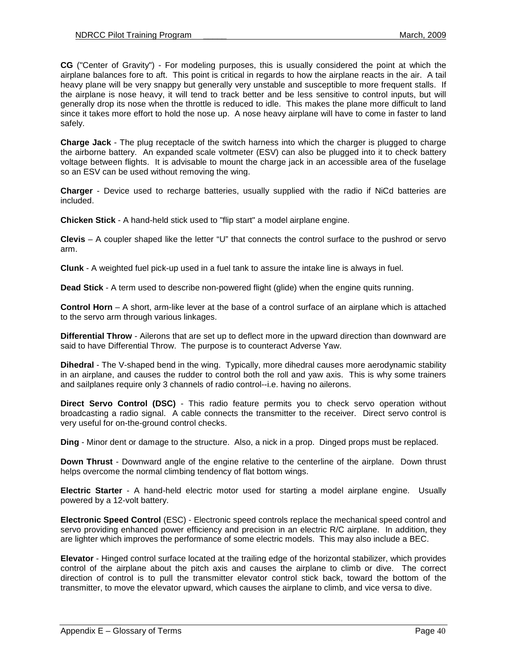**CG** ("Center of Gravity") - For modeling purposes, this is usually considered the point at which the airplane balances fore to aft. This point is critical in regards to how the airplane reacts in the air. A tail heavy plane will be very snappy but generally very unstable and susceptible to more frequent stalls. If the airplane is nose heavy, it will tend to track better and be less sensitive to control inputs, but will generally drop its nose when the throttle is reduced to idle. This makes the plane more difficult to land since it takes more effort to hold the nose up. A nose heavy airplane will have to come in faster to land safely.

**Charge Jack** - The plug receptacle of the switch harness into which the charger is plugged to charge the airborne battery. An expanded scale voltmeter (ESV) can also be plugged into it to check battery voltage between flights. It is advisable to mount the charge jack in an accessible area of the fuselage so an ESV can be used without removing the wing.

**Charger** - Device used to recharge batteries, usually supplied with the radio if NiCd batteries are included.

**Chicken Stick** - A hand-held stick used to "flip start" a model airplane engine.

**Clevis** – A coupler shaped like the letter "U" that connects the control surface to the pushrod or servo arm.

**Clunk** - A weighted fuel pick-up used in a fuel tank to assure the intake line is always in fuel.

**Dead Stick** - A term used to describe non-powered flight (glide) when the engine quits running.

**Control Horn** – A short, arm-like lever at the base of a control surface of an airplane which is attached to the servo arm through various linkages.

**Differential Throw** - Ailerons that are set up to deflect more in the upward direction than downward are said to have Differential Throw. The purpose is to counteract Adverse Yaw.

**Dihedral** - The V-shaped bend in the wing. Typically, more dihedral causes more aerodynamic stability in an airplane, and causes the rudder to control both the roll and yaw axis. This is why some trainers and sailplanes require only 3 channels of radio control--i.e. having no ailerons.

**Direct Servo Control (DSC)** - This radio feature permits you to check servo operation without broadcasting a radio signal. A cable connects the transmitter to the receiver. Direct servo control is very useful for on-the-ground control checks.

**Ding** - Minor dent or damage to the structure. Also, a nick in a prop. Dinged props must be replaced.

**Down Thrust** - Downward angle of the engine relative to the centerline of the airplane. Down thrust helps overcome the normal climbing tendency of flat bottom wings.

**Electric Starter** - A hand-held electric motor used for starting a model airplane engine. Usually powered by a 12-volt battery.

**Electronic Speed Control** (ESC) - Electronic speed controls replace the mechanical speed control and servo providing enhanced power efficiency and precision in an electric R/C airplane. In addition, they are lighter which improves the performance of some electric models. This may also include a BEC.

**Elevator** - Hinged control surface located at the trailing edge of the horizontal stabilizer, which provides control of the airplane about the pitch axis and causes the airplane to climb or dive. The correct direction of control is to pull the transmitter elevator control stick back, toward the bottom of the transmitter, to move the elevator upward, which causes the airplane to climb, and vice versa to dive.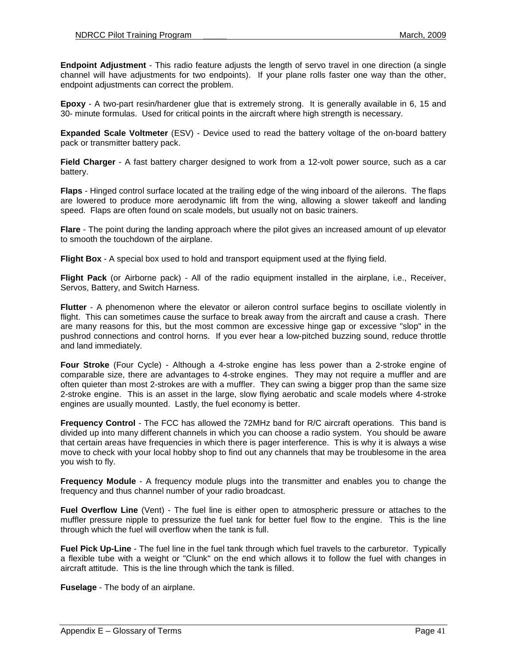**Endpoint Adjustment** - This radio feature adjusts the length of servo travel in one direction (a single channel will have adjustments for two endpoints). If your plane rolls faster one way than the other, endpoint adjustments can correct the problem.

**Epoxy** - A two-part resin/hardener glue that is extremely strong. It is generally available in 6, 15 and 30- minute formulas. Used for critical points in the aircraft where high strength is necessary.

**Expanded Scale Voltmeter** (ESV) - Device used to read the battery voltage of the on-board battery pack or transmitter battery pack.

**Field Charger** - A fast battery charger designed to work from a 12-volt power source, such as a car battery.

**Flaps** - Hinged control surface located at the trailing edge of the wing inboard of the ailerons. The flaps are lowered to produce more aerodynamic lift from the wing, allowing a slower takeoff and landing speed. Flaps are often found on scale models, but usually not on basic trainers.

**Flare** - The point during the landing approach where the pilot gives an increased amount of up elevator to smooth the touchdown of the airplane.

**Flight Box** - A special box used to hold and transport equipment used at the flying field.

**Flight Pack** (or Airborne pack) - All of the radio equipment installed in the airplane, i.e., Receiver, Servos, Battery, and Switch Harness.

**Flutter** - A phenomenon where the elevator or aileron control surface begins to oscillate violently in flight. This can sometimes cause the surface to break away from the aircraft and cause a crash. There are many reasons for this, but the most common are excessive hinge gap or excessive "slop" in the pushrod connections and control horns. If you ever hear a low-pitched buzzing sound, reduce throttle and land immediately.

**Four Stroke** (Four Cycle) - Although a 4-stroke engine has less power than a 2-stroke engine of comparable size, there are advantages to 4-stroke engines. They may not require a muffler and are often quieter than most 2-strokes are with a muffler. They can swing a bigger prop than the same size 2-stroke engine. This is an asset in the large, slow flying aerobatic and scale models where 4-stroke engines are usually mounted. Lastly, the fuel economy is better.

**Frequency Control** - The FCC has allowed the 72MHz band for R/C aircraft operations. This band is divided up into many different channels in which you can choose a radio system. You should be aware that certain areas have frequencies in which there is pager interference. This is why it is always a wise move to check with your local hobby shop to find out any channels that may be troublesome in the area you wish to fly.

**Frequency Module** - A frequency module plugs into the transmitter and enables you to change the frequency and thus channel number of your radio broadcast.

**Fuel Overflow Line** (Vent) - The fuel line is either open to atmospheric pressure or attaches to the muffler pressure nipple to pressurize the fuel tank for better fuel flow to the engine. This is the line through which the fuel will overflow when the tank is full.

**Fuel Pick Up-Line** - The fuel line in the fuel tank through which fuel travels to the carburetor. Typically a flexible tube with a weight or "Clunk" on the end which allows it to follow the fuel with changes in aircraft attitude. This is the line through which the tank is filled.

**Fuselage** - The body of an airplane.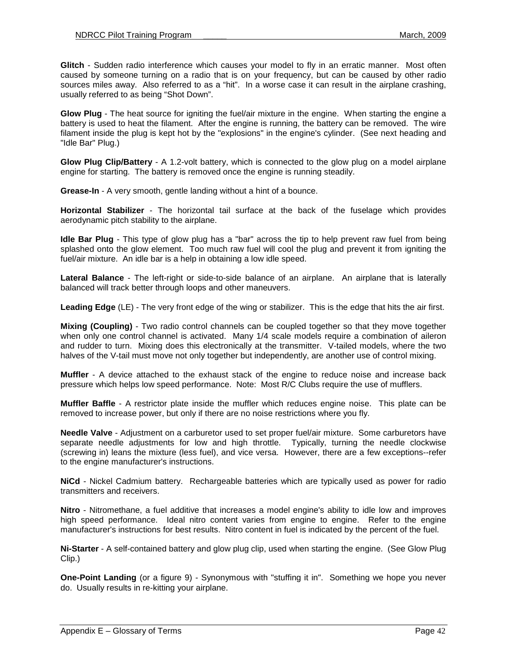**Glitch** - Sudden radio interference which causes your model to fly in an erratic manner. Most often caused by someone turning on a radio that is on your frequency, but can be caused by other radio sources miles away. Also referred to as a "hit". In a worse case it can result in the airplane crashing, usually referred to as being "Shot Down".

**Glow Plug** - The heat source for igniting the fuel/air mixture in the engine. When starting the engine a battery is used to heat the filament. After the engine is running, the battery can be removed. The wire filament inside the plug is kept hot by the "explosions" in the engine's cylinder. (See next heading and "Idle Bar" Plug.)

**Glow Plug Clip/Battery** - A 1.2-volt battery, which is connected to the glow plug on a model airplane engine for starting. The battery is removed once the engine is running steadily.

**Grease-In** - A very smooth, gentle landing without a hint of a bounce.

**Horizontal Stabilizer** - The horizontal tail surface at the back of the fuselage which provides aerodynamic pitch stability to the airplane.

**Idle Bar Plug** - This type of glow plug has a "bar" across the tip to help prevent raw fuel from being splashed onto the glow element. Too much raw fuel will cool the plug and prevent it from igniting the fuel/air mixture. An idle bar is a help in obtaining a low idle speed.

**Lateral Balance** - The left-right or side-to-side balance of an airplane. An airplane that is laterally balanced will track better through loops and other maneuvers.

**Leading Edge** (LE) - The very front edge of the wing or stabilizer. This is the edge that hits the air first.

**Mixing (Coupling)** - Two radio control channels can be coupled together so that they move together when only one control channel is activated. Many 1/4 scale models require a combination of aileron and rudder to turn. Mixing does this electronically at the transmitter. V-tailed models, where the two halves of the V-tail must move not only together but independently, are another use of control mixing.

**Muffler** - A device attached to the exhaust stack of the engine to reduce noise and increase back pressure which helps low speed performance. Note: Most R/C Clubs require the use of mufflers.

**Muffler Baffle** - A restrictor plate inside the muffler which reduces engine noise. This plate can be removed to increase power, but only if there are no noise restrictions where you fly.

**Needle Valve** - Adjustment on a carburetor used to set proper fuel/air mixture. Some carburetors have separate needle adjustments for low and high throttle. Typically, turning the needle clockwise (screwing in) leans the mixture (less fuel), and vice versa. However, there are a few exceptions--refer to the engine manufacturer's instructions.

**NiCd** - Nickel Cadmium battery. Rechargeable batteries which are typically used as power for radio transmitters and receivers.

**Nitro** - Nitromethane, a fuel additive that increases a model engine's ability to idle low and improves high speed performance. Ideal nitro content varies from engine to engine. Refer to the engine manufacturer's instructions for best results. Nitro content in fuel is indicated by the percent of the fuel.

**Ni-Starter** - A self-contained battery and glow plug clip, used when starting the engine. (See Glow Plug Clip.)

**One-Point Landing** (or a figure 9) - Synonymous with "stuffing it in". Something we hope you never do. Usually results in re-kitting your airplane.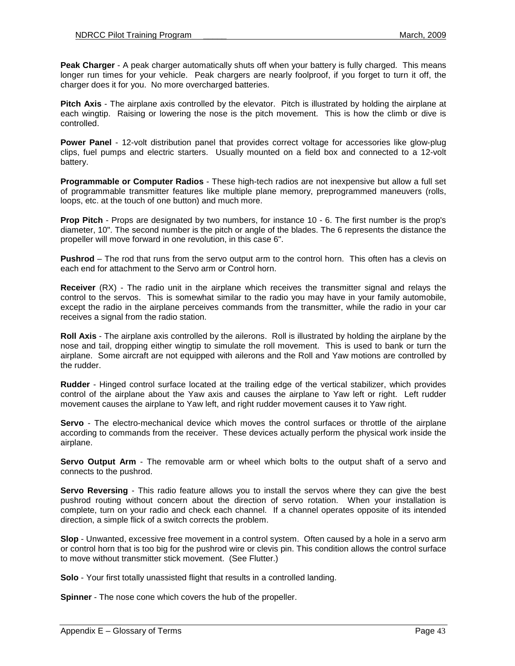**Peak Charger** - A peak charger automatically shuts off when your battery is fully charged. This means longer run times for your vehicle. Peak chargers are nearly foolproof, if you forget to turn it off, the charger does it for you. No more overcharged batteries.

**Pitch Axis** - The airplane axis controlled by the elevator. Pitch is illustrated by holding the airplane at each wingtip. Raising or lowering the nose is the pitch movement. This is how the climb or dive is controlled.

**Power Panel** - 12-volt distribution panel that provides correct voltage for accessories like glow-plug clips, fuel pumps and electric starters. Usually mounted on a field box and connected to a 12-volt battery.

**Programmable or Computer Radios** - These high-tech radios are not inexpensive but allow a full set of programmable transmitter features like multiple plane memory, preprogrammed maneuvers (rolls, loops, etc. at the touch of one button) and much more.

**Prop Pitch** - Props are designated by two numbers, for instance 10 - 6. The first number is the prop's diameter, 10". The second number is the pitch or angle of the blades. The 6 represents the distance the propeller will move forward in one revolution, in this case 6".

**Pushrod** – The rod that runs from the servo output arm to the control horn. This often has a clevis on each end for attachment to the Servo arm or Control horn.

**Receiver** (RX) - The radio unit in the airplane which receives the transmitter signal and relays the control to the servos. This is somewhat similar to the radio you may have in your family automobile, except the radio in the airplane perceives commands from the transmitter, while the radio in your car receives a signal from the radio station.

**Roll Axis** - The airplane axis controlled by the ailerons. Roll is illustrated by holding the airplane by the nose and tail, dropping either wingtip to simulate the roll movement. This is used to bank or turn the airplane. Some aircraft are not equipped with ailerons and the Roll and Yaw motions are controlled by the rudder.

**Rudder** - Hinged control surface located at the trailing edge of the vertical stabilizer, which provides control of the airplane about the Yaw axis and causes the airplane to Yaw left or right. Left rudder movement causes the airplane to Yaw left, and right rudder movement causes it to Yaw right.

**Servo** - The electro-mechanical device which moves the control surfaces or throttle of the airplane according to commands from the receiver. These devices actually perform the physical work inside the airplane.

**Servo Output Arm** - The removable arm or wheel which bolts to the output shaft of a servo and connects to the pushrod.

**Servo Reversing** - This radio feature allows you to install the servos where they can give the best pushrod routing without concern about the direction of servo rotation. When your installation is complete, turn on your radio and check each channel. If a channel operates opposite of its intended direction, a simple flick of a switch corrects the problem.

**Slop** - Unwanted, excessive free movement in a control system. Often caused by a hole in a servo arm or control horn that is too big for the pushrod wire or clevis pin. This condition allows the control surface to move without transmitter stick movement. (See Flutter.)

**Solo** - Your first totally unassisted flight that results in a controlled landing.

**Spinner** - The nose cone which covers the hub of the propeller.